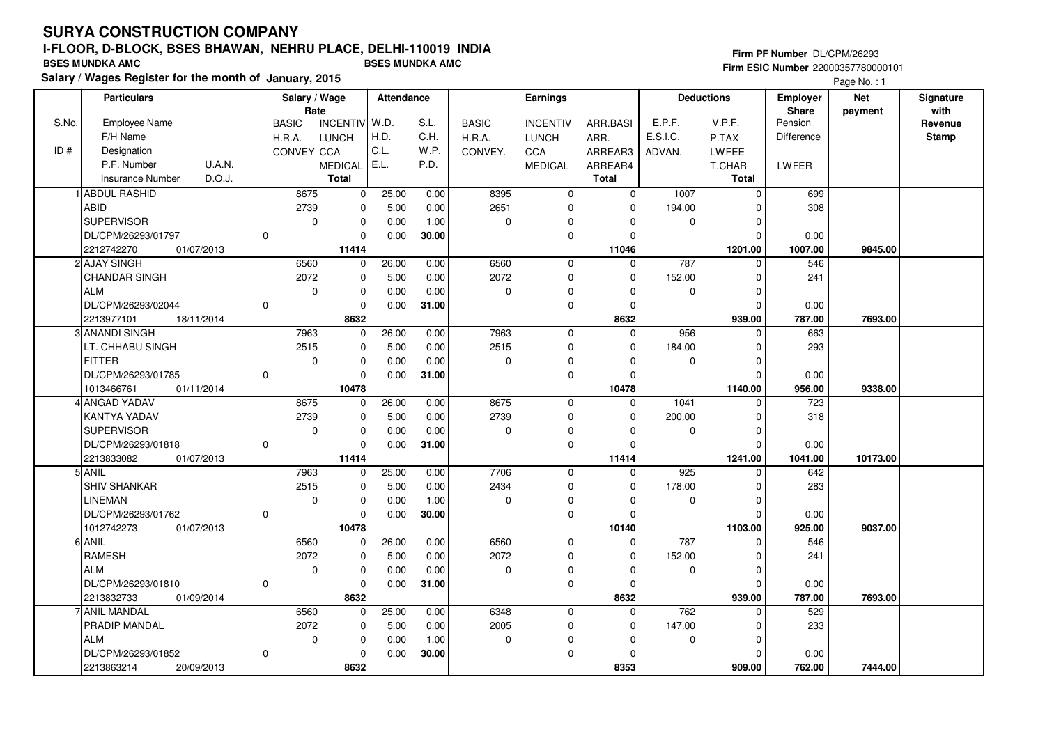## **Firm PF Number** DL/CPM/26293 **Firm ESIC Number** 22000357780000101

|       | <b>Particulars</b>         |          | Salary / Wage        |                 | Attendance |       |              | Earnings        |             |             | <b>Deductions</b> | <b>Employer</b>         | <b>Net</b> | Signature       |
|-------|----------------------------|----------|----------------------|-----------------|------------|-------|--------------|-----------------|-------------|-------------|-------------------|-------------------------|------------|-----------------|
| S.No. | Employee Name              |          | Rate<br><b>BASIC</b> | <b>INCENTIV</b> | W.D.       | S.L.  | <b>BASIC</b> | <b>INCENTIV</b> | ARR.BASI    | E.P.F.      | V.P.F.            | <b>Share</b><br>Pension | payment    | with<br>Revenue |
|       | F/H Name                   |          |                      |                 | H.D.       | C.H.  |              |                 |             | E.S.I.C.    | P.TAX             | Difference              |            | <b>Stamp</b>    |
| ID#   |                            |          | H.R.A.               | <b>LUNCH</b>    | C.L.       | W.P.  | H.R.A.       | <b>LUNCH</b>    | ARR.        |             |                   |                         |            |                 |
|       | Designation                |          | CONVEY CCA           |                 |            |       | CONVEY.      | CCA             | ARREAR3     | ADVAN.      | <b>LWFEE</b>      |                         |            |                 |
|       | P.F. Number<br>U.A.N.      |          |                      | <b>MEDICAL</b>  | E.L.       | P.D.  |              | <b>MEDICAL</b>  | ARREAR4     |             | T.CHAR            | LWFER                   |            |                 |
|       | D.O.J.<br>Insurance Number |          |                      | <b>Total</b>    |            |       |              |                 | Total       |             | <b>Total</b>      |                         |            |                 |
|       | <b>ABDUL RASHID</b>        |          | 8675                 | $\mathbf 0$     | 25.00      | 0.00  | 8395         | $\mathbf 0$     | $\Omega$    | 1007        | $\mathbf 0$       | 699                     |            |                 |
|       | <b>ABID</b>                |          | 2739                 | 0               | 5.00       | 0.00  | 2651         | 0               | $\mathbf 0$ | 194.00      | 0                 | 308                     |            |                 |
|       | <b>SUPERVISOR</b>          |          | 0                    | 0               | 0.00       | 1.00  | $\mathbf 0$  | $\Omega$        | O           | 0           | $\mathbf 0$       |                         |            |                 |
|       | DL/CPM/26293/01797         |          |                      | $\Omega$        | 0.00       | 30.00 |              | $\mathbf 0$     | $\Omega$    |             | $\Omega$          | 0.00                    |            |                 |
|       | 01/07/2013<br>2212742270   |          |                      | 11414           |            |       |              |                 | 11046       |             | 1201.00           | 1007.00                 | 9845.00    |                 |
|       | 2 AJAY SINGH               |          | 6560                 | $\mathbf 0$     | 26.00      | 0.00  | 6560         | $\mathbf 0$     | $\Omega$    | 787         | $\mathbf 0$       | 546                     |            |                 |
|       | <b>CHANDAR SINGH</b>       |          | 2072                 | 0               | 5.00       | 0.00  | 2072         | $\mathbf 0$     | $\Omega$    | 152.00      | $\mathbf 0$       | 241                     |            |                 |
|       | <b>ALM</b>                 |          | $\mathbf 0$          | 0               | 0.00       | 0.00  | 0            | 0               | 0           | 0           | $\mathbf 0$       |                         |            |                 |
|       | DL/CPM/26293/02044         |          |                      | $\mathbf 0$     | 0.00       | 31.00 |              | $\mathbf 0$     | $\Omega$    |             | $\mathbf 0$       | 0.00                    |            |                 |
|       | 2213977101<br>18/11/2014   |          |                      | 8632            |            |       |              |                 | 8632        |             | 939.00            | 787.00                  | 7693.00    |                 |
|       | 3 ANANDI SINGH             |          | 7963                 | 0               | 26.00      | 0.00  | 7963         | 0               | $\mathbf 0$ | 956         | 0                 | 663                     |            |                 |
|       | LT. CHHABU SINGH           |          | 2515                 | $\mathbf 0$     | 5.00       | 0.00  | 2515         | $\mathbf 0$     | $\Omega$    | 184.00      | $\mathbf 0$       | 293                     |            |                 |
|       | <b>FITTER</b>              |          | 0                    | $\mathbf 0$     | 0.00       | 0.00  | 0            | 0               | $\Omega$    | 0           | $\mathbf 0$       |                         |            |                 |
|       | DL/CPM/26293/01785         |          |                      | $\Omega$        | 0.00       | 31.00 |              | $\mathbf 0$     | 0           |             | $\Omega$          | 0.00                    |            |                 |
|       | 1013466761<br>01/11/2014   |          |                      | 10478           |            |       |              |                 | 10478       |             | 1140.00           | 956.00                  | 9338.00    |                 |
|       | 4 ANGAD YADAV              |          | 8675                 | 0               | 26.00      | 0.00  | 8675         | 0               | 0           | 1041        | 0                 | 723                     |            |                 |
|       | <b>KANTYA YADAV</b>        |          | 2739                 | $\mathbf 0$     | 5.00       | 0.00  | 2739         | $\mathbf 0$     | $\Omega$    | 200.00      | $\Omega$          | 318                     |            |                 |
|       | <b>SUPERVISOR</b>          |          | $\mathbf 0$          | $\mathbf 0$     | 0.00       | 0.00  | $\mathbf 0$  | $\mathbf 0$     | $\Omega$    | $\mathbf 0$ | $\mathbf 0$       |                         |            |                 |
|       | DL/CPM/26293/01818         |          |                      | 0               | 0.00       | 31.00 |              | 0               | n           |             | $\mathbf 0$       | 0.00                    |            |                 |
|       | 2213833082<br>01/07/2013   |          |                      | 11414           |            |       |              |                 | 11414       |             | 1241.00           | 1041.00                 | 10173.00   |                 |
|       | 5 ANIL                     |          | 7963                 | 0               | 25.00      | 0.00  | 7706         | $\mathbf 0$     | $\Omega$    | 925         | $\Omega$          | 642                     |            |                 |
|       | <b>SHIV SHANKAR</b>        |          | 2515                 | $\mathbf 0$     | 5.00       | 0.00  | 2434         | $\Omega$        | 0           | 178.00      | $\mathbf 0$       | 283                     |            |                 |
|       | <b>LINEMAN</b>             |          | $\mathbf 0$          | $\mathbf 0$     | 0.00       | 1.00  | $\mathbf 0$  | 0               | 0           | $\mathbf 0$ | $\mathbf 0$       |                         |            |                 |
|       | DL/CPM/26293/01762         | $\Omega$ |                      | 0               | 0.00       | 30.00 |              | $\mathbf 0$     | $\Omega$    |             | $\mathbf 0$       | 0.00                    |            |                 |
|       | 1012742273<br>01/07/2013   |          |                      | 10478           |            |       |              |                 | 10140       |             | 1103.00           | 925.00                  | 9037.00    |                 |
|       | 6 ANIL                     |          | 6560                 | $\mathbf 0$     | 26.00      | 0.00  | 6560         | $\mathbf 0$     | $\Omega$    | 787         | $\mathbf 0$       | 546                     |            |                 |
|       | <b>RAMESH</b>              |          | 2072                 | 0               | 5.00       | 0.00  | 2072         | 0               | $\Omega$    | 152.00      | $\mathbf 0$       | 241                     |            |                 |
|       | <b>ALM</b>                 |          | $\mathbf 0$          | $\mathbf 0$     | 0.00       | 0.00  | $\mathbf 0$  | 0               | $\Omega$    | $\mathbf 0$ | $\mathbf 0$       |                         |            |                 |
|       | DL/CPM/26293/01810         |          |                      | 0               | 0.00       | 31.00 |              | $\mathbf 0$     | $\Omega$    |             | $\Omega$          | 0.00                    |            |                 |
|       | 2213832733<br>01/09/2014   |          |                      | 8632            |            |       |              |                 | 8632        |             | 939.00            | 787.00                  | 7693.00    |                 |
|       | 7 ANIL MANDAL              |          | 6560                 | $\Omega$        | 25.00      | 0.00  | 6348         | $\mathbf 0$     | $\Omega$    | 762         | $\Omega$          | 529                     |            |                 |
|       |                            |          |                      |                 |            |       | 2005         |                 |             |             |                   |                         |            |                 |
|       | PRADIP MANDAL              |          | 2072                 | 0               | 5.00       | 0.00  |              | 0               | 0           | 147.00      | 0                 | 233                     |            |                 |
|       | <b>ALM</b>                 |          | $\mathbf 0$          | 0               | 0.00       | 1.00  | $\mathbf 0$  | $\Omega$        | O           | 0           | $\mathbf 0$       |                         |            |                 |
|       | DL/CPM/26293/01852         |          |                      | $\Omega$        | 0.00       | 30.00 |              | $\Omega$        |             |             | $\Omega$          | 0.00                    |            |                 |
|       | 2213863214<br>20/09/2013   |          |                      | 8632            |            |       |              |                 | 8353        |             | 909.00            | 762.00                  | 7444.00    |                 |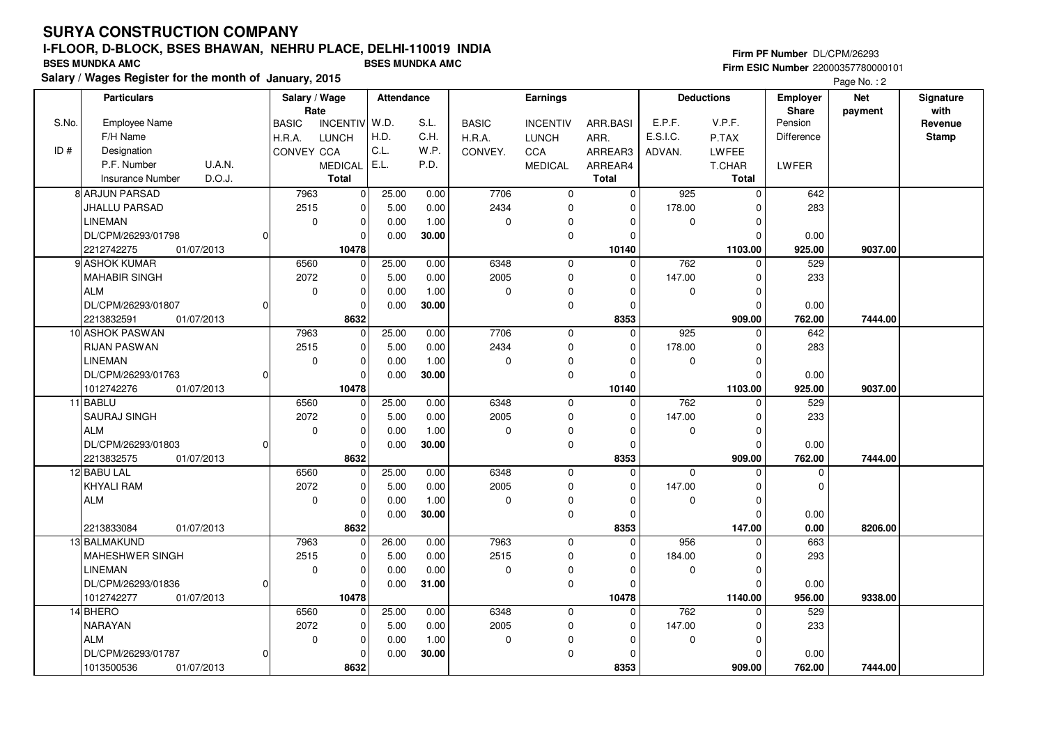## **Firm PF Number** DL/CPM/26293 **Firm ESIC Number** 22000357780000101

|       | <b>Particulars</b>                   |              | Salary / Wage         |                | <b>Attendance</b> |       |              | Earnings        |                      |             | <b>Deductions</b> | <b>Employer</b>  | <b>Net</b> | Signature       |
|-------|--------------------------------------|--------------|-----------------------|----------------|-------------------|-------|--------------|-----------------|----------------------|-------------|-------------------|------------------|------------|-----------------|
| S.No. | <b>Employee Name</b>                 | <b>BASIC</b> | Rate<br>INCENTIV W.D. |                |                   | S.L.  | <b>BASIC</b> | <b>INCENTIV</b> | ARR.BASI             | E.P.F.      | V.P.F.            | Share<br>Pension | payment    | with<br>Revenue |
|       | F/H Name                             | H.R.A.       | <b>LUNCH</b>          |                | H.D.              | C.H.  | H.R.A.       | <b>LUNCH</b>    | ARR.                 | E.S.I.C.    | P.TAX             | Difference       |            | <b>Stamp</b>    |
| ID#   | Designation                          |              | CONVEY CCA            |                | C.L.              | W.P.  | CONVEY.      | CCA             | ARREAR3              | ADVAN.      | LWFEE             |                  |            |                 |
|       | P.F. Number<br><b>U.A.N.</b>         |              | <b>MEDICAL</b>        |                | E.L.              | P.D.  |              | <b>MEDICAL</b>  | ARREAR4              |             | T.CHAR            | LWFER            |            |                 |
|       | D.O.J.<br><b>Insurance Number</b>    |              | <b>Total</b>          |                |                   |       |              |                 | Total                |             | <b>Total</b>      |                  |            |                 |
|       | 8 ARJUN PARSAD                       |              | 7963                  | 0              | 25.00             | 0.00  | 7706         | $\mathbf 0$     | $\mathbf 0$          | 925         | $\mathbf 0$       | 642              |            |                 |
|       | JHALLU PARSAD                        |              | 2515                  | 0              | 5.00              | 0.00  | 2434         | 0               | $\Omega$             | 178.00      | $\mathbf 0$       | 283              |            |                 |
|       | <b>LINEMAN</b>                       |              | $\mathbf 0$           | 0              | 0.00              | 1.00  | $\mathbf 0$  | 0               | $\mathbf 0$          | $\mathbf 0$ | $\mathbf 0$       |                  |            |                 |
|       | DL/CPM/26293/01798                   | $\Omega$     |                       |                | 0.00              |       |              | 0               | $\Omega$             |             | $\mathbf 0$       |                  |            |                 |
|       | 2212742275<br>01/07/2013             |              | 10478                 | 0              |                   | 30.00 |              |                 | 10140                |             | 1103.00           | 0.00<br>925.00   | 9037.00    |                 |
|       | 9 ASHOK KUMAR                        |              | 6560                  | $\mathbf 0$    | 25.00             | 0.00  | 6348         |                 | $\Omega$             | 762         | $\Omega$          | 529              |            |                 |
|       |                                      |              | 2072                  |                | 5.00              | 0.00  |              | $\mathbf 0$     | $\Omega$             | 147.00      |                   | 233              |            |                 |
|       | <b>MAHABIR SINGH</b>                 |              |                       | 0              |                   |       | 2005         | 0<br>$\Omega$   |                      |             | $\mathbf 0$       |                  |            |                 |
|       | <b>ALM</b>                           |              | $\mathbf 0$           | 0              | 0.00              | 1.00  | $\mathbf 0$  |                 | $\Omega$             | $\mathbf 0$ | $\mathbf 0$       |                  |            |                 |
|       | DL/CPM/26293/01807                   | 0            |                       | $\Omega$       | 0.00              | 30.00 |              | 0               | $\Omega$<br>8353     |             | $\mathbf 0$       | 0.00             |            |                 |
|       | 2213832591<br>01/07/2013             |              |                       | 8632           |                   |       | 7706         |                 |                      |             | 909.00            | 762.00           | 7444.00    |                 |
|       | 10 ASHOK PASWAN                      |              | 7963                  | 0              | 25.00             | 0.00  |              | 0               | $\mathbf 0$          | 925         | $\mathbf 0$       | 642              |            |                 |
|       | <b>RIJAN PASWAN</b>                  |              | 2515                  | 0              | 5.00              | 0.00  | 2434         | $\mathbf 0$     | $\Omega$             | 178.00      | $\mathbf 0$       | 283              |            |                 |
|       | <b>LINEMAN</b>                       |              | $\mathbf 0$           | 0              | 0.00              | 1.00  | $\mathbf 0$  | $\Omega$        | $\Omega$             | $\mathbf 0$ | $\mathbf 0$       |                  |            |                 |
|       | DL/CPM/26293/01763                   | $\Omega$     |                       | 0              | 0.00              | 30.00 |              | 0               | $\Omega$             |             | $\Omega$          | 0.00             |            |                 |
|       | 1012742276<br>01/07/2013<br>11 BABLU |              | 10478<br>6560         |                | 25.00             | 0.00  | 6348         |                 | 10140<br>$\Omega$    | 762         | 1103.00           | 925.00<br>529    | 9037.00    |                 |
|       |                                      |              |                       | $\mathbf 0$    |                   |       |              | $\mathbf 0$     | $\Omega$             |             | $\mathbf 0$       |                  |            |                 |
|       | <b>SAURAJ SINGH</b>                  |              | 2072                  | 0              | 5.00              | 0.00  | 2005         | 0               |                      | 147.00      | $\mathbf 0$       | 233              |            |                 |
|       | <b>ALM</b>                           |              | $\mathbf 0$           | 0              | 0.00              | 1.00  | $\mathbf 0$  | 0               | $\overline{0}$       | $\mathbf 0$ | $\mathbf 0$       |                  |            |                 |
|       | DL/CPM/26293/01803                   | $\Omega$     |                       | $\Omega$       | 0.00              | 30.00 |              | 0               | $\Omega$             |             | $\Omega$          | 0.00             |            |                 |
|       | 2213832575<br>01/07/2013             |              |                       | 8632           |                   |       |              |                 | 8353                 |             | 909.00            | 762.00           | 7444.00    |                 |
|       | 12 BABU LAL<br><b>KHYALI RAM</b>     |              | 6560                  | $\mathbf{0}$   | 25.00             | 0.00  | 6348<br>2005 | $\mathbf 0$     | $\Omega$<br>$\Omega$ | $\mathbf 0$ | $\mathbf 0$       | $\mathbf 0$      |            |                 |
|       |                                      |              | 2072                  | 0              | 5.00              | 0.00  | $\Omega$     | 0               |                      | 147.00      | $\mathbf 0$       | $\mathbf 0$      |            |                 |
|       | <b>ALM</b>                           |              | $\mathbf 0$           | 0              | 0.00              | 1.00  |              | 0               | $\Omega$             | $\Omega$    | $\mathbf 0$       |                  |            |                 |
|       |                                      |              |                       | 0              | 0.00              | 30.00 |              | 0               | $\Omega$             |             | $\mathbf 0$       | 0.00             |            |                 |
|       | 2213833084<br>01/07/2013             |              |                       | 8632           |                   |       |              |                 | 8353                 |             | 147.00            | 0.00             | 8206.00    |                 |
|       | 13 BALMAKUND                         |              | 7963                  | 0              | 26.00             | 0.00  | 7963         | 0               | $\Omega$             | 956         | 0                 | 663              |            |                 |
|       | MAHESHWER SINGH                      |              | 2515                  | 0              | 5.00              | 0.00  | 2515         | 0               | $\Omega$             | 184.00      | $\mathbf 0$       | 293              |            |                 |
|       | LINEMAN                              |              | $\mathbf 0$           | 0              | 0.00              | 0.00  | $\mathbf 0$  | $\mathbf 0$     | $\Omega$             | $\mathbf 0$ | $\mathbf 0$       |                  |            |                 |
|       | DL/CPM/26293/01836                   | 0            |                       | 0              | 0.00              | 31.00 |              | $\mathbf 0$     | $\Omega$             |             | $\mathbf 0$       | 0.00             |            |                 |
|       | 1012742277<br>01/07/2013             |              | 10478                 |                |                   |       |              |                 | 10478                |             | 1140.00           | 956.00           | 9338.00    |                 |
|       | 14 BHERO                             |              | 6560                  | $\overline{0}$ | 25.00             | 0.00  | 6348         | $\mathbf 0$     | $\Omega$             | 762         | $\Omega$          | 529              |            |                 |
|       | <b>NARAYAN</b>                       |              | 2072                  | 0              | 5.00              | 0.00  | 2005         | 0               | $\Omega$             | 147.00      | $\mathbf 0$       | 233              |            |                 |
|       | <b>ALM</b>                           |              | $\mathbf 0$           | 0              | 0.00              | 1.00  | $\mathbf 0$  | 0               | $\Omega$             | $\mathbf 0$ | 0                 |                  |            |                 |
|       | DL/CPM/26293/01787                   | $\Omega$     |                       | 0              | 0.00              | 30.00 |              | $\mathbf 0$     | $\Omega$             |             | $\Omega$          | 0.00             |            |                 |
|       | 01/07/2013<br>1013500536             |              |                       | 8632           |                   |       |              |                 | 8353                 |             | 909.00            | 762.00           | 7444.00    |                 |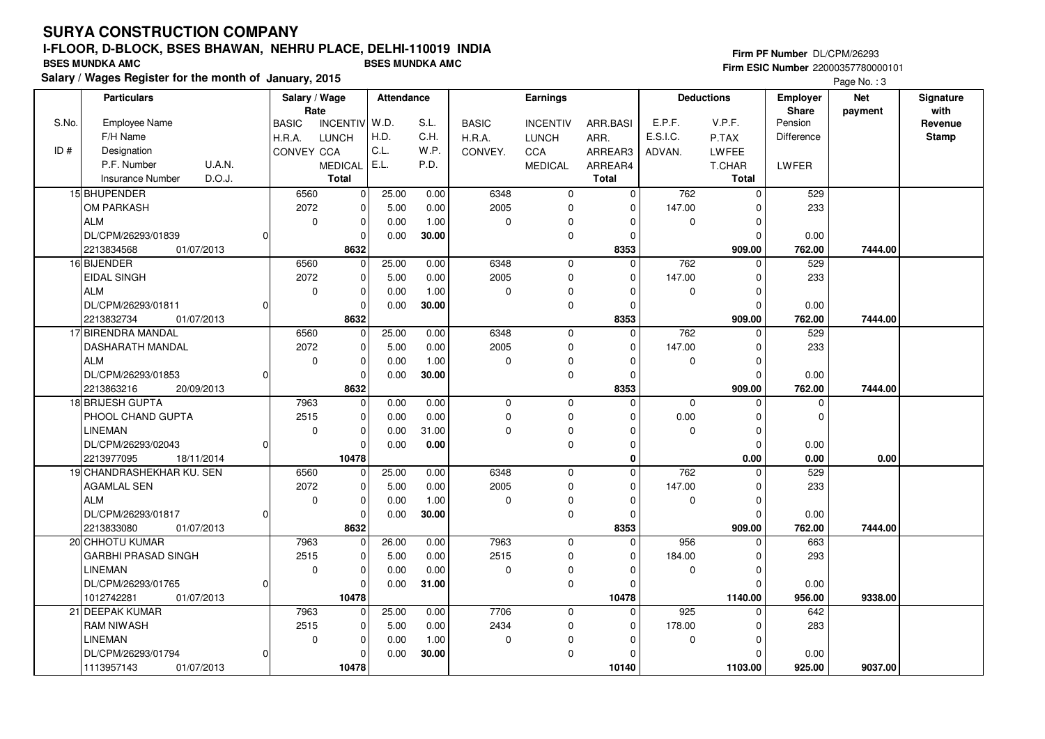**Salary / Wages Register for the month of January, 2015 BSES MUNDKA AMC BSES MUNDKA AMC**

## **Firm PF Number** DL/CPM/26293 **Firm ESIC Number** 22000357780000101

|       | <b>Particulars</b>                |                | Salary / Wage<br>Rate |                 | <b>Attendance</b> |       |              | <b>Earnings</b> |              |             | <b>Deductions</b> | <b>Employer</b><br>Share | <b>Net</b> | Signature<br>with |
|-------|-----------------------------------|----------------|-----------------------|-----------------|-------------------|-------|--------------|-----------------|--------------|-------------|-------------------|--------------------------|------------|-------------------|
| S.No. | Employee Name                     |                | <b>BASIC</b>          | <b>INCENTIV</b> | W.D.              | S.L.  | <b>BASIC</b> | <b>INCENTIV</b> | ARR.BASI     | E.P.F.      | V.P.F.            | Pension                  | payment    | Revenue           |
|       | F/H Name                          |                | H.R.A.                | <b>LUNCH</b>    | H.D.              | C.H.  | H.R.A.       | <b>LUNCH</b>    | ARR.         | E.S.I.C.    | P.TAX             | Difference               |            | Stamp             |
| ID#   | Designation                       |                | CONVEY CCA            |                 | C.L.              | W.P.  | CONVEY.      | CCA             | ARREAR3      | ADVAN.      | LWFEE             |                          |            |                   |
|       | P.F. Number<br>U.A.N.             |                |                       | <b>MEDICAL</b>  | E.L.              | P.D.  |              | <b>MEDICAL</b>  | ARREAR4      |             | T.CHAR            | <b>LWFER</b>             |            |                   |
|       | D.O.J.<br><b>Insurance Number</b> |                |                       | <b>Total</b>    |                   |       |              |                 | <b>Total</b> |             | <b>Total</b>      |                          |            |                   |
|       | 15 BHUPENDER                      |                | 6560                  | 0               | 25.00             | 0.00  | 6348         | 0               | $\Omega$     | 762         | $\mathbf 0$       | 529                      |            |                   |
|       | OM PARKASH                        |                | 2072                  | 0               | 5.00              | 0.00  | 2005         | 0               | $\Omega$     | 147.00      | 0                 | 233                      |            |                   |
|       | <b>ALM</b>                        |                | $\mathbf 0$           | 0               | 0.00              | 1.00  | $\mathbf 0$  | $\Omega$        | $\Omega$     | $\mathbf 0$ | $\mathbf 0$       |                          |            |                   |
|       | DL/CPM/26293/01839                | $\Omega$       |                       | 0               | 0.00              | 30.00 |              | 0               | $\Omega$     |             | $\Omega$          | 0.00                     |            |                   |
|       | 2213834568<br>01/07/2013          |                |                       | 8632            |                   |       |              |                 | 8353         |             | 909.00            | 762.00                   | 7444.00    |                   |
|       | 16 BIJENDER                       |                | 6560                  | $\Omega$        | 25.00             | 0.00  | 6348         | $\mathbf 0$     | $\Omega$     | 762         | $\Omega$          | 529                      |            |                   |
|       | <b>EIDAL SINGH</b>                |                | 2072                  | 0               | 5.00              | 0.00  | 2005         | 0               | $\Omega$     | 147.00      | $\mathbf 0$       | 233                      |            |                   |
|       | <b>ALM</b>                        |                | $\mathbf 0$           | 0               | 0.00              | 1.00  | $\mathbf 0$  | $\Omega$        | $\Omega$     | $\mathbf 0$ | $\mathbf 0$       |                          |            |                   |
|       | DL/CPM/26293/01811                | $\Omega$       |                       | $\Omega$        | 0.00              | 30.00 |              | 0               | $\mathbf 0$  |             | $\Omega$          | 0.00                     |            |                   |
|       | 2213832734<br>01/07/2013          |                |                       | 8632            |                   |       |              |                 | 8353         |             | 909.00            | 762.00                   | 7444.00    |                   |
|       | 17 BIRENDRA MANDAL                |                | 6560                  | $\Omega$        | 25.00             | 0.00  | 6348         | $\mathbf 0$     | $\Omega$     | 762         | $\Omega$          | 529                      |            |                   |
|       | <b>DASHARATH MANDAL</b>           |                | 2072                  | 0               | 5.00              | 0.00  | 2005         | $\Omega$        | $\Omega$     | 147.00      | $\mathbf 0$       | 233                      |            |                   |
|       | <b>ALM</b>                        |                | $\mathbf 0$           | 0               | 0.00              | 1.00  | $\mathbf 0$  | 0               | $\Omega$     | $\mathbf 0$ | $\mathbf 0$       |                          |            |                   |
|       | DL/CPM/26293/01853                | <sup>0</sup>   |                       | $\Omega$        | 0.00              | 30.00 |              | 0               | $\Omega$     |             | $\Omega$          | 0.00                     |            |                   |
|       | 2213863216<br>20/09/2013          |                |                       | 8632            |                   |       |              |                 | 8353         |             | 909.00            | 762.00                   | 7444.00    |                   |
|       | 18 BRIJESH GUPTA                  |                | 7963                  | 0               | 0.00              | 0.00  | 0            | 0               | $\Omega$     | $\mathbf 0$ | 0                 | 0                        |            |                   |
|       | PHOOL CHAND GUPTA                 |                | 2515                  | 0               | 0.00              | 0.00  | $\mathsf 0$  | 0               | $\Omega$     | 0.00        | $\mathbf 0$       | 0                        |            |                   |
|       | <b>LINEMAN</b>                    |                | $\mathbf 0$           | 0               | 0.00              | 31.00 | $\mathbf 0$  | 0               | $\Omega$     | $\mathbf 0$ | $\mathbf 0$       |                          |            |                   |
|       | DL/CPM/26293/02043                | $\Omega$       |                       | $\Omega$        | 0.00              | 0.00  |              | 0               | $\Omega$     |             | $\Omega$          | 0.00                     |            |                   |
|       | 2213977095<br>18/11/2014          |                |                       | 10478           |                   |       |              |                 | 0            |             | 0.00              | 0.00                     | 0.00       |                   |
|       | 19 CHANDRASHEKHAR KU. SEN         |                | 6560                  | $\Omega$        | 25.00             | 0.00  | 6348         | 0               | $\Omega$     | 762         | $\Omega$          | 529                      |            |                   |
|       | <b>AGAMLAL SEN</b>                |                | 2072                  | 0               | 5.00              | 0.00  | 2005         | 0               | $\Omega$     | 147.00      | $\Omega$          | 233                      |            |                   |
|       | <b>ALM</b>                        |                | $\mathbf 0$           | 0               | 0.00              | 1.00  | $\Omega$     | 0               | $\Omega$     | $\mathbf 0$ | $\mathbf 0$       |                          |            |                   |
|       | DL/CPM/26293/01817                | $\Omega$       |                       | $\mathbf 0$     | 0.00              | 30.00 |              | 0               | $\Omega$     |             | $\Omega$          | 0.00                     |            |                   |
|       | 2213833080<br>01/07/2013          |                |                       | 8632            |                   |       |              |                 | 8353         |             | 909.00            | 762.00                   | 7444.00    |                   |
|       | 20 CHHOTU KUMAR                   |                | 7963                  | $\overline{0}$  | 26.00             | 0.00  | 7963         | 0               | $\Omega$     | 956         | $\Omega$          | 663                      |            |                   |
|       | <b>GARBHI PRASAD SINGH</b>        |                | 2515                  | 0               | 5.00              | 0.00  | 2515         | 0               | $\Omega$     | 184.00      | $\Omega$          | 293                      |            |                   |
|       | <b>LINEMAN</b>                    |                | $\mathbf 0$           | 0               | 0.00              | 0.00  | $\mathbf 0$  | 0               | $\Omega$     | $\mathbf 0$ | $\Omega$          |                          |            |                   |
|       | DL/CPM/26293/01765                | $\overline{0}$ |                       | 0               | 0.00              | 31.00 |              | 0               | $\Omega$     |             | $\Omega$          | 0.00                     |            |                   |
|       | 1012742281<br>01/07/2013          |                |                       | 10478           |                   |       |              |                 | 10478        |             | 1140.00           | 956.00                   | 9338.00    |                   |
|       | 21 DEEPAK KUMAR                   |                | 7963                  | 0               | 25.00             | 0.00  | 7706         | 0               | $\Omega$     | 925         | $\Omega$          | 642                      |            |                   |
|       | <b>RAM NIWASH</b>                 |                | 2515                  | 0               | 5.00              | 0.00  | 2434         | 0               | $\Omega$     | 178.00      | $\mathbf 0$       | 283                      |            |                   |
|       | <b>LINEMAN</b>                    |                | $\mathbf 0$           | 0               | 0.00              | 1.00  | $\mathbf 0$  | $\Omega$        | $\Omega$     | $\mathbf 0$ | $\mathbf 0$       |                          |            |                   |
|       | DL/CPM/26293/01794                | 0              |                       | $\Omega$        | 0.00              | 30.00 |              | $\mathbf 0$     | $\Omega$     |             | $\Omega$          | 0.00                     |            |                   |
|       | 1113957143<br>01/07/2013          |                |                       | 10478           |                   |       |              |                 | 10140        |             | 1103.00           | 925.00                   | 9037.00    |                   |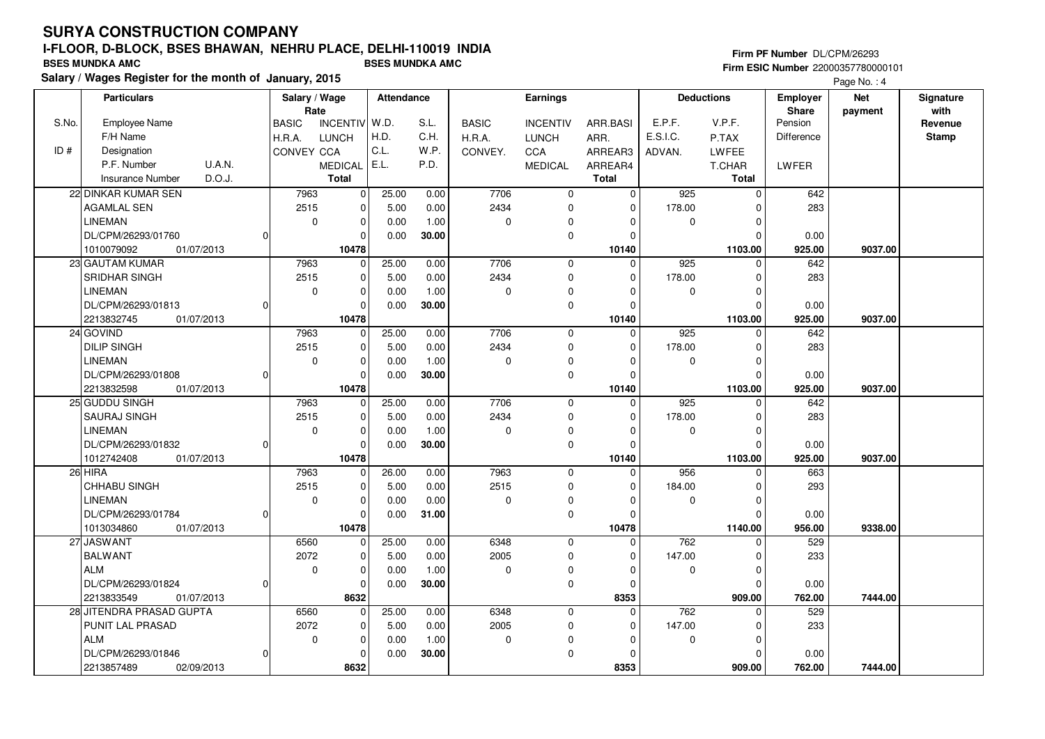## **Firm PF Number** DL/CPM/26293 **Firm ESIC Number** 22000357780000101

|       | <b>Particulars</b>                |                | Salary / Wage<br>Rate |                 | Attendance |       |              | <b>Earnings</b> |                |             | <b>Deductions</b> | <b>Employer</b><br>Share | <b>Net</b> | Signature<br>with |
|-------|-----------------------------------|----------------|-----------------------|-----------------|------------|-------|--------------|-----------------|----------------|-------------|-------------------|--------------------------|------------|-------------------|
| S.No. | <b>Employee Name</b>              |                | <b>BASIC</b>          | <b>INCENTIV</b> | W.D.       | S.L.  | <b>BASIC</b> | <b>INCENTIV</b> | ARR.BASI       | E.P.F.      | V.P.F.            | Pension                  | payment    | Revenue           |
|       | F/H Name                          |                | H.R.A.                | <b>LUNCH</b>    | H.D.       | C.H.  | H.R.A.       | <b>LUNCH</b>    | ARR.           | E.S.I.C.    | P.TAX             | Difference               |            | <b>Stamp</b>      |
| ID#   | Designation                       |                | <b>CONVEY CCA</b>     |                 | C.L.       | W.P.  | CONVEY.      | CCA             | ARREAR3        | ADVAN.      | LWFEE             |                          |            |                   |
|       | P.F. Number<br><b>U.A.N.</b>      |                |                       | <b>MEDICAL</b>  | E.L.       | P.D.  |              | MEDICAL         | ARREAR4        |             | T.CHAR            | LWFER                    |            |                   |
|       | D.O.J.<br><b>Insurance Number</b> |                |                       | <b>Total</b>    |            |       |              |                 | <b>Total</b>   |             | Total             |                          |            |                   |
|       | 22 DINKAR KUMAR SEN               |                | 7963                  | 0               | 25.00      | 0.00  | 7706         | $\mathbf 0$     | $\overline{0}$ | 925         | $\mathbf 0$       | 642                      |            |                   |
|       | <b>AGAMLAL SEN</b>                |                | 2515                  | 0               | 5.00       | 0.00  | 2434         | $\mathbf 0$     | $\mathbf 0$    | 178.00      | $\Omega$          | 283                      |            |                   |
|       | <b>LINEMAN</b>                    |                | $\mathbf 0$           | $\mathbf 0$     | 0.00       | 1.00  | $\mathbf 0$  | $\mathbf 0$     | $\mathbf 0$    | $\mathbf 0$ | $\Omega$          |                          |            |                   |
|       | DL/CPM/26293/01760                |                |                       | $\Omega$        | 0.00       | 30.00 |              | $\mathbf 0$     | $\Omega$       |             | $\Omega$          | 0.00                     |            |                   |
|       | 1010079092<br>01/07/2013          |                |                       | 10478           |            |       |              |                 | 10140          |             | 1103.00           | 925.00                   | 9037.00    |                   |
|       | 23 GAUTAM KUMAR                   |                | 7963                  | $\mathbf 0$     | 25.00      | 0.00  | 7706         | $\mathbf 0$     | $\Omega$       | 925         | $\Omega$          | 642                      |            |                   |
|       | SRIDHAR SINGH                     |                | 2515                  | 0               | 5.00       | 0.00  | 2434         | $\mathbf 0$     | 0              | 178.00      | $\Omega$          | 283                      |            |                   |
|       | <b>LINEMAN</b>                    |                | 0                     | 0               | 0.00       | 1.00  | 0            | 0               | $\Omega$       | 0           | $\Omega$          |                          |            |                   |
|       | DL/CPM/26293/01813                | $\Omega$       |                       | $\Omega$        | 0.00       | 30.00 |              | $\pmb{0}$       | $\Omega$       |             | $\Omega$          | 0.00                     |            |                   |
|       | 2213832745<br>01/07/2013          |                |                       | 10478           |            |       |              |                 | 10140          |             | 1103.00           | 925.00                   | 9037.00    |                   |
|       | 24 GOVIND                         |                | 7963                  | $\mathbf 0$     | 25.00      | 0.00  | 7706         | $\mathbf 0$     | $\mathbf 0$    | 925         | $\mathbf 0$       | 642                      |            |                   |
|       | <b>DILIP SINGH</b>                |                | 2515                  | 0               | 5.00       | 0.00  | 2434         | $\mathbf 0$     | 0              | 178.00      | $\Omega$          | 283                      |            |                   |
|       | <b>LINEMAN</b>                    |                | $\mathbf 0$           | $\mathbf 0$     | 0.00       | 1.00  | 0            | $\mathbf 0$     | $\Omega$       | $\mathbf 0$ | $\Omega$          |                          |            |                   |
|       | DL/CPM/26293/01808                | 0              |                       | $\Omega$        | 0.00       | 30.00 |              | $\mathbf 0$     | $\Omega$       |             | $\Omega$          | 0.00                     |            |                   |
|       | 2213832598<br>01/07/2013          |                |                       | 10478           |            |       |              |                 | 10140          |             | 1103.00           | 925.00                   | 9037.00    |                   |
|       | 25 GUDDU SINGH                    |                | 7963                  | $\mathbf 0$     | 25.00      | 0.00  | 7706         | $\mathbf 0$     | $\Omega$       | 925         | $\Omega$          | 642                      |            |                   |
|       | SAURAJ SINGH                      |                | 2515                  | $\mathbf 0$     | 5.00       | 0.00  | 2434         | $\mathbf 0$     | $\Omega$       | 178.00      | $\Omega$          | 283                      |            |                   |
|       | <b>LINEMAN</b>                    |                | $\mathbf 0$           | $\mathbf 0$     | 0.00       | 1.00  | 0            | $\mathbf 0$     | $\Omega$       | 0           | $\Omega$          |                          |            |                   |
|       | DL/CPM/26293/01832                |                |                       | 0               | 0.00       | 30.00 |              | $\pmb{0}$       | $\Omega$       |             | $\Omega$          | 0.00                     |            |                   |
|       | 1012742408<br>01/07/2013          |                |                       | 10478           |            |       |              |                 | 10140          |             | 1103.00           | 925.00                   | 9037.00    |                   |
|       | 26 HIRA                           |                | 7963                  | $\mathbf{0}$    | 26.00      | 0.00  | 7963         | $\mathbf 0$     | $\Omega$       | 956         | $\Omega$          | 663                      |            |                   |
|       | CHHABU SINGH                      |                | 2515                  | 0               | 5.00       | 0.00  | 2515         | $\mathbf 0$     | $\Omega$       | 184.00      | $\Omega$          | 293                      |            |                   |
|       | <b>LINEMAN</b>                    |                | $\mathbf 0$           | $\mathbf 0$     | 0.00       | 0.00  | 0            | 0               | 0              | 0           | $\mathbf 0$       |                          |            |                   |
|       | DL/CPM/26293/01784                | $\overline{0}$ |                       | $\mathbf 0$     | 0.00       | 31.00 |              | $\mathbf 0$     | $\mathbf 0$    |             | $\Omega$          | 0.00                     |            |                   |
|       | 1013034860<br>01/07/2013          |                |                       | 10478           |            |       |              |                 | 10478          |             | 1140.00           | 956.00                   | 9338.00    |                   |
|       | 27 JASWANT                        |                | 6560                  | $\mathbf 0$     | 25.00      | 0.00  | 6348         | $\mathbf 0$     | $\Omega$       | 762         | $\Omega$          | 529                      |            |                   |
|       | <b>BALWANT</b>                    |                | 2072                  | $\mathbf 0$     | 5.00       | 0.00  | 2005         | $\mathbf 0$     | $\mathbf 0$    | 147.00      | $\Omega$          | 233                      |            |                   |
|       | <b>ALM</b>                        |                | $\mathbf 0$           | 0               | 0.00       | 1.00  | 0            | 0               | 0              | 0           | $\Omega$          |                          |            |                   |
|       | DL/CPM/26293/01824                | $\Omega$       |                       | $\mathbf 0$     | 0.00       | 30.00 |              | $\mathbf 0$     | $\Omega$       |             | $\Omega$          | 0.00                     |            |                   |
|       | 2213833549<br>01/07/2013          |                |                       | 8632            |            |       |              |                 | 8353           |             | 909.00            | 762.00                   | 7444.00    |                   |
|       | 28 JITENDRA PRASAD GUPTA          |                | 6560                  | $\mathbf 0$     | 25.00      | 0.00  | 6348         | $\mathbf 0$     | $\Omega$       | 762         | $\Omega$          | 529                      |            |                   |
|       | PUNIT LAL PRASAD                  |                | 2072                  | 0               | 5.00       | 0.00  | 2005         | 0               | $\Omega$       | 147.00      | $\Omega$          | 233                      |            |                   |
|       | <b>ALM</b>                        |                | $\mathbf 0$           | $\mathbf 0$     | 0.00       | 1.00  | 0            | $\Omega$        | $\Omega$       | 0           | $\Omega$          |                          |            |                   |
|       | DL/CPM/26293/01846                | 0              |                       | $\mathbf 0$     | 0.00       | 30.00 |              | $\mathbf 0$     | $\Omega$       |             | $\Omega$          | 0.00                     |            |                   |
|       | 2213857489<br>02/09/2013          |                |                       | 8632            |            |       |              |                 | 8353           |             | 909.00            | 762.00                   | 7444.00    |                   |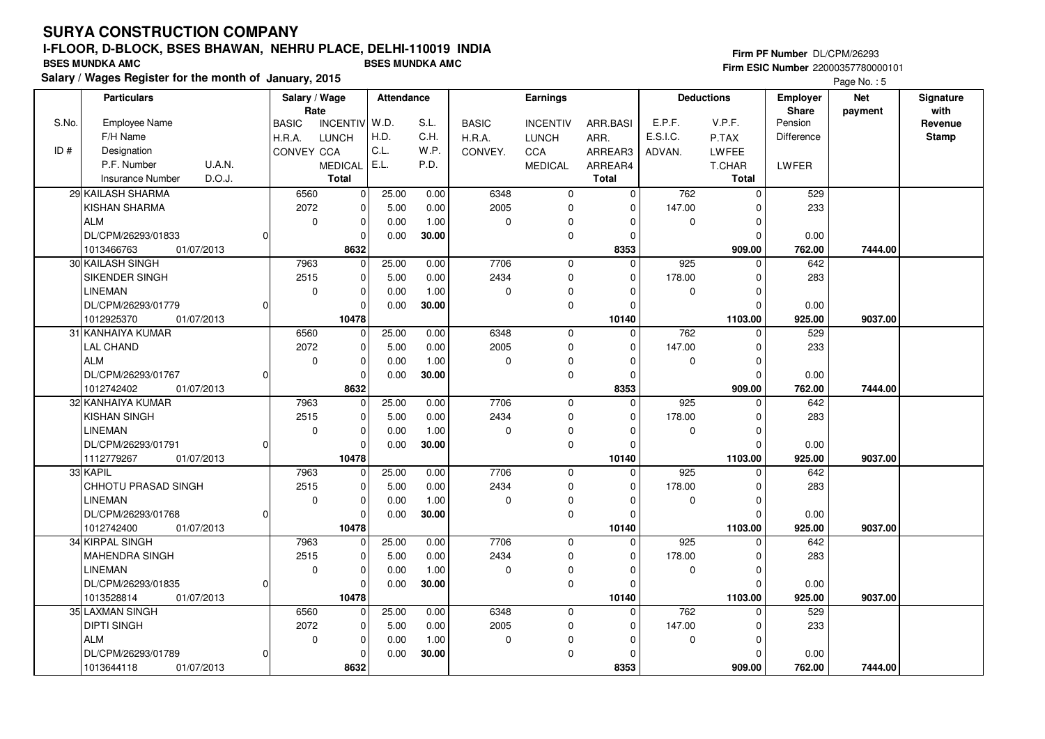**Salary / Wages Register for the month of January, 2015 BSES MUNDKA AMC BSES MUNDKA AMC**

## **Firm PF Number** DL/CPM/26293 **Firm ESIC Number** 22000357780000101

|       | <b>Particulars</b>                |          | Salary / Wage        |                 | Attendance |       |              | Earnings        |          |             | <b>Deductions</b> | <b>Employer</b>  | <b>Net</b> | Signature<br>with |
|-------|-----------------------------------|----------|----------------------|-----------------|------------|-------|--------------|-----------------|----------|-------------|-------------------|------------------|------------|-------------------|
| S.No. | Employee Name                     |          | Rate<br><b>BASIC</b> | <b>INCENTIV</b> | W.D.       | S.L.  | <b>BASIC</b> | <b>INCENTIV</b> | ARR.BASI | E.P.F.      | V.P.F.            | Share<br>Pension | payment    | Revenue           |
|       | F/H Name                          |          | H.R.A.               | <b>LUNCH</b>    | H.D.       | C.H.  | H.R.A.       | <b>LUNCH</b>    | ARR.     | E.S.I.C.    | P.TAX             | Difference       |            | <b>Stamp</b>      |
| ID#   | Designation                       |          | CONVEY CCA           |                 | C.L.       | W.P.  | CONVEY.      | CCA             | ARREAR3  | ADVAN.      | LWFEE             |                  |            |                   |
|       | P.F. Number<br>U.A.N.             |          |                      | <b>MEDICAL</b>  | E.L.       | P.D.  |              | <b>MEDICAL</b>  | ARREAR4  |             | T.CHAR            | <b>LWFER</b>     |            |                   |
|       | D.O.J.<br><b>Insurance Number</b> |          |                      | <b>Total</b>    |            |       |              |                 | Total    |             | <b>Total</b>      |                  |            |                   |
|       | 29 KAILASH SHARMA                 |          | 6560                 | $\mathbf 0$     | 25.00      | 0.00  | 6348         | 0               | 0        | 762         | $\mathbf 0$       | 529              |            |                   |
|       | <b>KISHAN SHARMA</b>              |          | 2072                 | $\mathbf 0$     | 5.00       | 0.00  | 2005         | $\mathbf 0$     | $\Omega$ | 147.00      | $\mathbf 0$       | 233              |            |                   |
|       | <b>ALM</b>                        |          | $\mathbf 0$          | 0               | 0.00       | 1.00  | 0            | $\Omega$        | $\Omega$ | $\mathbf 0$ | $\mathbf 0$       |                  |            |                   |
|       | DL/CPM/26293/01833                | $\Omega$ |                      | 0               | 0.00       | 30.00 |              | 0               | $\Omega$ |             | $\Omega$          | 0.00             |            |                   |
|       | 01/07/2013<br>1013466763          |          |                      | 8632            |            |       |              |                 | 8353     |             | 909.00            | 762.00           | 7444.00    |                   |
|       | 30 KAILASH SINGH                  |          | 7963                 | 0               | 25.00      | 0.00  | 7706         | 0               | $\Omega$ | 925         | $\mathbf 0$       | 642              |            |                   |
|       | SIKENDER SINGH                    |          | 2515                 | $\mathbf{0}$    | 5.00       | 0.00  | 2434         | 0               | $\Omega$ | 178.00      | $\mathbf 0$       | 283              |            |                   |
|       | <b>LINEMAN</b>                    |          | $\mathbf 0$          | $\mathbf 0$     | 0.00       | 1.00  | $\Omega$     | $\Omega$        | $\Omega$ | 0           | $\mathbf 0$       |                  |            |                   |
|       | DL/CPM/26293/01779                | 0        |                      | $\mathbf 0$     | 0.00       | 30.00 |              | 0               | $\Omega$ |             | $\mathbf 0$       | 0.00             |            |                   |
|       | 1012925370<br>01/07/2013          |          |                      | 10478           |            |       |              |                 | 10140    |             | 1103.00           | 925.00           | 9037.00    |                   |
|       | 31 KANHAIYA KUMAR                 |          | 6560                 | $\overline{0}$  | 25.00      | 0.00  | 6348         | $\mathbf 0$     | $\Omega$ | 762         | $\mathbf 0$       | 529              |            |                   |
|       | <b>LAL CHAND</b>                  |          | 2072                 | 0               | 5.00       | 0.00  | 2005         | $\mathbf 0$     | $\Omega$ | 147.00      | $\mathbf 0$       | 233              |            |                   |
|       | <b>ALM</b>                        |          | $\mathbf 0$          | $\mathbf 0$     | 0.00       | 1.00  | $\Omega$     | $\mathbf 0$     | $\Omega$ | $\Omega$    | $\mathbf 0$       |                  |            |                   |
|       | DL/CPM/26293/01767                | $\Omega$ |                      | $\mathbf 0$     | 0.00       | 30.00 |              | 0               | $\Omega$ |             | $\Omega$          | 0.00             |            |                   |
|       | 1012742402<br>01/07/2013          |          |                      | 8632            |            |       |              |                 | 8353     |             | 909.00            | 762.00           | 7444.00    |                   |
|       | 32 KANHAIYA KUMAR                 |          | 7963                 | $\mathbf 0$     | 25.00      | 0.00  | 7706         | $\mathbf 0$     | $\Omega$ | 925         | $\mathbf 0$       | 642              |            |                   |
|       | <b>KISHAN SINGH</b>               |          | 2515                 | $\mathbf 0$     | 5.00       | 0.00  | 2434         | $\mathbf 0$     | $\Omega$ | 178.00      | $\mathbf 0$       | 283              |            |                   |
|       | <b>LINEMAN</b>                    |          | $\mathbf 0$          | 0               | 0.00       | 1.00  | $\Omega$     | 0               | $\Omega$ | 0           | $\mathbf 0$       |                  |            |                   |
|       | DL/CPM/26293/01791                | 0l       |                      | $\mathbf 0$     | 0.00       | 30.00 |              | $\mathbf 0$     | $\Omega$ |             | $\Omega$          | 0.00             |            |                   |
|       | 1112779267<br>01/07/2013          |          |                      | 10478           |            |       |              |                 | 10140    |             | 1103.00           | 925.00           | 9037.00    |                   |
|       | 33 KAPIL                          |          | 7963                 | 0               | 25.00      | 0.00  | 7706         | 0               | $\Omega$ | 925         | 0                 | 642              |            |                   |
|       | <b>CHHOTU PRASAD SINGH</b>        |          | 2515                 | $\mathbf 0$     | 5.00       | 0.00  | 2434         | $\mathbf 0$     | $\Omega$ | 178.00      | $\mathbf 0$       | 283              |            |                   |
|       | <b>LINEMAN</b>                    |          | $\mathbf 0$          | $\mathbf 0$     | 0.00       | 1.00  | $\Omega$     | $\mathbf 0$     | $\Omega$ | $\mathbf 0$ | $\mathbf 0$       |                  |            |                   |
|       | DL/CPM/26293/01768                | 0l       |                      | 0               | 0.00       | 30.00 |              | 0               | $\Omega$ |             | $\Omega$          | 0.00             |            |                   |
|       | 1012742400<br>01/07/2013          |          |                      | 10478           |            |       |              |                 | 10140    |             | 1103.00           | 925.00           | 9037.00    |                   |
|       | 34 KIRPAL SINGH                   |          | 7963                 | $\overline{0}$  | 25.00      | 0.00  | 7706         | $\mathbf 0$     | $\Omega$ | 925         | $\Omega$          | 642              |            |                   |
|       | MAHENDRA SINGH                    |          | 2515                 | $\mathbf 0$     | 5.00       | 0.00  | 2434         | 0               | $\Omega$ | 178.00      | $\Omega$          | 283              |            |                   |
|       | <b>LINEMAN</b>                    |          | $\mathbf 0$          | $\mathbf{0}$    | 0.00       | 1.00  | $\mathbf 0$  | $\mathbf 0$     | $\Omega$ | $\mathbf 0$ | $\mathbf 0$       |                  |            |                   |
|       | DL/CPM/26293/01835                | 0l       |                      | $\mathbf 0$     | 0.00       | 30.00 |              | $\mathbf 0$     | $\Omega$ |             | $\Omega$          | 0.00             |            |                   |
|       | 1013528814<br>01/07/2013          |          |                      | 10478           |            |       |              |                 | 10140    |             | 1103.00           | 925.00           | 9037.00    |                   |
|       | 35 LAXMAN SINGH                   |          | 6560                 | 0               | 25.00      | 0.00  | 6348         | $\mathbf 0$     | $\Omega$ | 762         | $\Omega$          | 529              |            |                   |
|       | <b>DIPTI SINGH</b>                |          | 2072                 | 0               | 5.00       | 0.00  | 2005         | 0               | $\Omega$ | 147.00      | 0                 | 233              |            |                   |
|       | ALM                               |          | $\mathbf 0$          | $\mathbf 0$     | 0.00       | 1.00  | $\mathbf 0$  | $\Omega$        | $\Omega$ | $\mathbf 0$ | $\mathbf 0$       |                  |            |                   |
|       | DL/CPM/26293/01789                | 0l       |                      | 0               | 0.00       | 30.00 |              | $\mathbf 0$     | O        |             | $\Omega$          | 0.00             |            |                   |
|       | 1013644118<br>01/07/2013          |          |                      | 8632            |            |       |              |                 | 8353     |             | 909.00            | 762.00           | 7444.00    |                   |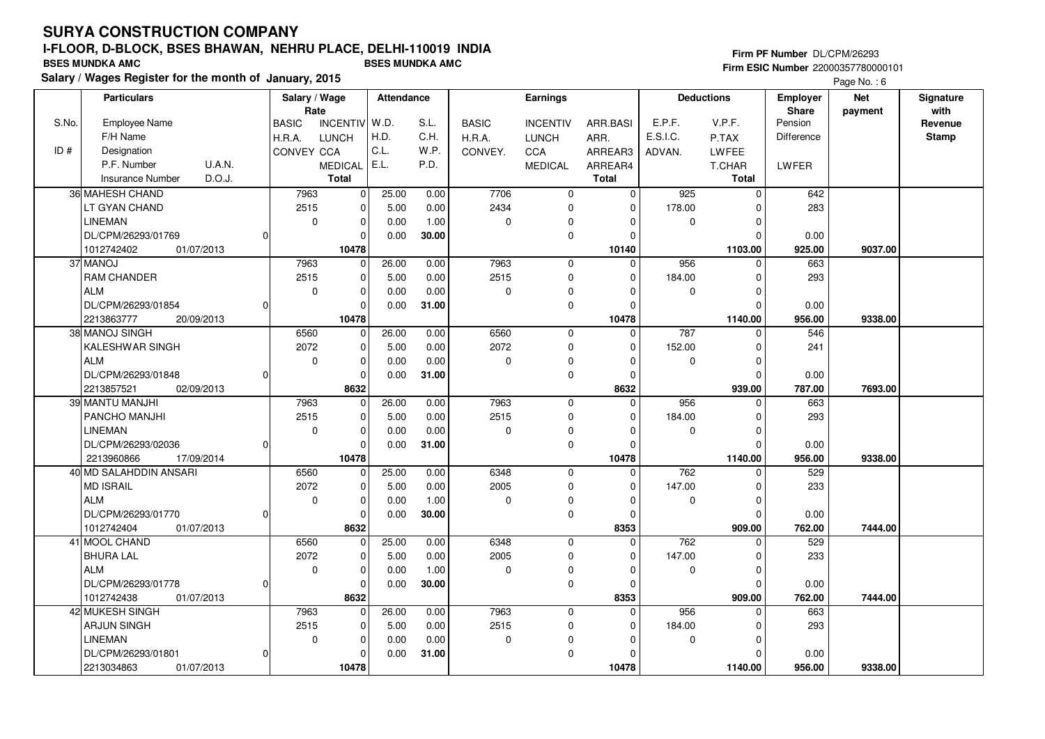## **Firm PF Number** DL/CPM/26293 **Firm ESIC Number** 22000357780000101

|       | <b>Particulars</b>                |                | Salary / Wage<br>Rate |                 | Attendance |       |              | <b>Earnings</b> |                |             | <b>Deductions</b> | <b>Employer</b><br>Share | <b>Net</b> | Signature<br>with |
|-------|-----------------------------------|----------------|-----------------------|-----------------|------------|-------|--------------|-----------------|----------------|-------------|-------------------|--------------------------|------------|-------------------|
| S.No. | <b>Employee Name</b>              |                | <b>BASIC</b>          | <b>INCENTIV</b> | W.D.       | S.L.  | <b>BASIC</b> | <b>INCENTIV</b> | ARR.BASI       | E.P.F.      | V.P.F.            | Pension                  | payment    | Revenue           |
|       | F/H Name                          |                | H.R.A.                | <b>LUNCH</b>    | H.D.       | C.H.  | H.R.A.       | <b>LUNCH</b>    | ARR.           | E.S.I.C.    | P.TAX             | Difference               |            | <b>Stamp</b>      |
| ID#   | Designation                       |                | CONVEY CCA            |                 | C.L.       | W.P.  | CONVEY.      | CCA             | ARREAR3        | ADVAN.      | LWFEE             |                          |            |                   |
|       | P.F. Number<br><b>U.A.N.</b>      |                |                       | <b>MEDICAL</b>  | E.L.       | P.D.  |              | MEDICAL         | ARREAR4        |             | T.CHAR            | LWFER                    |            |                   |
|       | D.O.J.<br><b>Insurance Number</b> |                |                       | <b>Total</b>    |            |       |              |                 | <b>Total</b>   |             | Total             |                          |            |                   |
|       | 36 MAHESH CHAND                   |                | 7963                  | 0               | 25.00      | 0.00  | 7706         | $\mathbf 0$     | $\overline{0}$ | 925         | $\mathbf 0$       | 642                      |            |                   |
|       | LT GYAN CHAND                     |                | 2515                  | 0               | 5.00       | 0.00  | 2434         | $\mathbf 0$     | $\mathbf 0$    | 178.00      | $\Omega$          | 283                      |            |                   |
|       | <b>LINEMAN</b>                    |                | $\mathbf 0$           | $\mathbf 0$     | 0.00       | 1.00  | $\mathbf 0$  | $\mathbf 0$     | $\mathbf 0$    | $\mathbf 0$ | $\Omega$          |                          |            |                   |
|       | DL/CPM/26293/01769                |                |                       | $\Omega$        | 0.00       | 30.00 |              | $\mathbf 0$     | $\Omega$       |             | $\Omega$          | 0.00                     |            |                   |
|       | 1012742402<br>01/07/2013          |                |                       | 10478           |            |       |              |                 | 10140          |             | 1103.00           | 925.00                   | 9037.00    |                   |
|       | 37 MANOJ                          |                | 7963                  | $\mathbf 0$     | 26.00      | 0.00  | 7963         | $\mathbf 0$     | $\Omega$       | 956         | $\Omega$          | 663                      |            |                   |
|       | <b>RAM CHANDER</b>                |                | 2515                  | 0               | 5.00       | 0.00  | 2515         | $\mathbf 0$     | 0              | 184.00      | $\Omega$          | 293                      |            |                   |
|       | <b>ALM</b>                        |                | 0                     | 0               | 0.00       | 0.00  | 0            | 0               | $\Omega$       | 0           | $\Omega$          |                          |            |                   |
|       | DL/CPM/26293/01854                | $\Omega$       |                       | $\Omega$        | 0.00       | 31.00 |              | $\mathbf 0$     | $\Omega$       |             | $\Omega$          | 0.00                     |            |                   |
|       | 2213863777<br>20/09/2013          |                |                       | 10478           |            |       |              |                 | 10478          |             | 1140.00           | 956.00                   | 9338.00    |                   |
|       | 38 MANOJ SINGH                    |                | 6560                  | $\mathbf 0$     | 26.00      | 0.00  | 6560         | $\mathbf 0$     | $\mathbf 0$    | 787         | $\mathbf 0$       | 546                      |            |                   |
|       | KALESHWAR SINGH                   |                | 2072                  | 0               | 5.00       | 0.00  | 2072         | $\mathbf 0$     | 0              | 152.00      | $\Omega$          | 241                      |            |                   |
|       | <b>ALM</b>                        |                | $\mathbf 0$           | $\mathbf 0$     | 0.00       | 0.00  | 0            | $\mathbf 0$     | $\Omega$       | $\mathbf 0$ | $\Omega$          |                          |            |                   |
|       | DL/CPM/26293/01848                | 0              |                       | $\Omega$        | 0.00       | 31.00 |              | $\mathbf 0$     | $\Omega$       |             | $\Omega$          | 0.00                     |            |                   |
|       | 2213857521<br>02/09/2013          |                |                       | 8632            |            |       |              |                 | 8632           |             | 939.00            | 787.00                   | 7693.00    |                   |
|       | 39 MANTU MANJHI                   |                | 7963                  | $\mathbf 0$     | 26.00      | 0.00  | 7963         | $\mathbf 0$     | $\Omega$       | 956         | $\Omega$          | 663                      |            |                   |
|       | PANCHO MANJHI                     |                | 2515                  | $\mathbf 0$     | 5.00       | 0.00  | 2515         | $\mathbf 0$     | $\Omega$       | 184.00      | $\Omega$          | 293                      |            |                   |
|       | LINEMAN                           |                | $\mathbf 0$           | $\mathbf 0$     | 0.00       | 0.00  | 0            | $\mathbf 0$     | $\Omega$       | 0           | $\Omega$          |                          |            |                   |
|       | DL/CPM/26293/02036                | $\Omega$       |                       | 0               | 0.00       | 31.00 |              | $\pmb{0}$       | $\Omega$       |             | $\Omega$          | 0.00                     |            |                   |
|       | 2213960866<br>17/09/2014          |                |                       | 10478           |            |       |              |                 | 10478          |             | 1140.00           | 956.00                   | 9338.00    |                   |
|       | 40 MD SALAHDDIN ANSARI            |                | 6560                  | $\mathbf{0}$    | 25.00      | 0.00  | 6348         | $\mathbf 0$     | $\Omega$       | 762         | $\Omega$          | 529                      |            |                   |
|       | <b>MD ISRAIL</b>                  |                | 2072                  | 0               | 5.00       | 0.00  | 2005         | $\mathbf 0$     | $\Omega$       | 147.00      | $\Omega$          | 233                      |            |                   |
|       | <b>ALM</b>                        |                | $\mathbf 0$           | $\mathbf 0$     | 0.00       | 1.00  | 0            | 0               | 0              | 0           | $\mathbf 0$       |                          |            |                   |
|       | DL/CPM/26293/01770                | $\overline{0}$ |                       | 0               | 0.00       | 30.00 |              | $\mathbf 0$     | $\mathbf 0$    |             | $\Omega$          | 0.00                     |            |                   |
|       | 1012742404<br>01/07/2013          |                |                       | 8632            |            |       |              |                 | 8353           |             | 909.00            | 762.00                   | 7444.00    |                   |
|       | 41 MOOL CHAND                     |                | 6560                  | $\mathbf 0$     | 25.00      | 0.00  | 6348         | $\mathbf 0$     | $\Omega$       | 762         | $\Omega$          | 529                      |            |                   |
|       | <b>BHURA LAL</b>                  |                | 2072                  | $\mathbf 0$     | 5.00       | 0.00  | 2005         | $\mathbf 0$     | $\mathbf 0$    | 147.00      | $\Omega$          | 233                      |            |                   |
|       | <b>ALM</b>                        |                | $\mathbf 0$           | $\mathbf 0$     | 0.00       | 1.00  | 0            | 0               | 0              | 0           | $\Omega$          |                          |            |                   |
|       | DL/CPM/26293/01778                | $\Omega$       |                       | $\mathbf 0$     | 0.00       | 30.00 |              | $\mathbf 0$     | $\Omega$       |             | $\Omega$          | 0.00                     |            |                   |
|       | 1012742438<br>01/07/2013          |                |                       | 8632            |            |       |              |                 | 8353           |             | 909.00            | 762.00                   | 7444.00    |                   |
|       | 42 MUKESH SINGH                   |                | 7963                  | $\mathbf 0$     | 26.00      | 0.00  | 7963         | $\mathbf 0$     | $\Omega$       | 956         | $\Omega$          | 663                      |            |                   |
|       | ARJUN SINGH                       |                | 2515                  | 0               | 5.00       | 0.00  | 2515         | 0               | $\Omega$       | 184.00      | $\Omega$          | 293                      |            |                   |
|       | <b>LINEMAN</b>                    |                | $\mathbf 0$           | $\mathbf 0$     | 0.00       | 0.00  | 0            | $\mathbf 0$     | $\Omega$       | $\mathbf 0$ | $\Omega$          |                          |            |                   |
|       | DL/CPM/26293/01801                | 0              |                       | $\Omega$        | 0.00       | 31.00 |              | $\mathbf 0$     | $\Omega$       |             | $\Omega$          | 0.00                     |            |                   |
|       | 2213034863<br>01/07/2013          |                |                       | 10478           |            |       |              |                 | 10478          |             | 1140.00           | 956.00                   | 9338.00    |                   |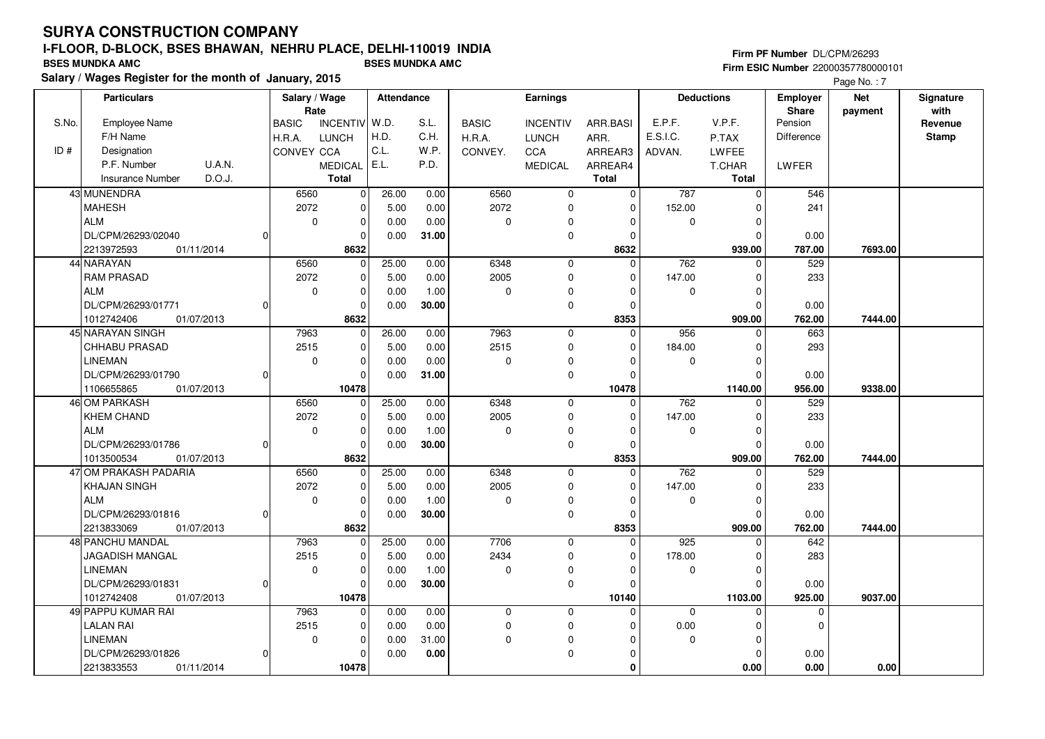**Salary / Wages Register for the month of January, 2015 BSES MUNDKA AMC BSES MUNDKA AMC**

### **Firm PF Number** DL/CPM/26293 **Firm ESIC Number** 22000357780000101

|       | <b>Particulars</b>                |              | Salary / Wage              | Attendance |       |              | Earnings        |              |             | <b>Deductions</b> | <b>Employer</b> | <b>Net</b> | Signature    |
|-------|-----------------------------------|--------------|----------------------------|------------|-------|--------------|-----------------|--------------|-------------|-------------------|-----------------|------------|--------------|
|       |                                   |              | Rate                       |            |       |              |                 |              |             |                   | <b>Share</b>    | payment    | with         |
| S.No. | Employee Name                     | <b>BASIC</b> | <b>INCENTIV</b>            | W.D.       | S.L.  | <b>BASIC</b> | <b>INCENTIV</b> | ARR.BASI     | E.P.F.      | V.P.F.            | Pension         |            | Revenue      |
|       | F/H Name                          | H.R.A.       | <b>LUNCH</b>               | H.D.       | C.H.  | H.R.A.       | LUNCH           | ARR.         | E.S.I.C.    | P.TAX             | Difference      |            | <b>Stamp</b> |
| ID#   | Designation                       |              | CONVEY CCA                 | C.L.       | W.P.  | CONVEY.      | CCA             | ARREAR3      | ADVAN.      | <b>LWFEE</b>      |                 |            |              |
|       | P.F. Number<br>U.A.N.             |              | <b>MEDICAL</b>             | E.L.       | P.D.  |              | <b>MEDICAL</b>  | ARREAR4      |             | T.CHAR            | LWFER           |            |              |
|       | D.O.J.<br><b>Insurance Number</b> |              | <b>Total</b>               |            |       |              |                 | <b>Total</b> |             | <b>Total</b>      |                 |            |              |
|       | 43 MUNENDRA                       |              | 6560<br>$\mathbf 0$        | 26.00      | 0.00  | 6560         | 0               | $\mathbf 0$  | 787         | $\mathbf 0$       | 546             |            |              |
|       | <b>MAHESH</b>                     |              | 2072<br>0                  | 5.00       | 0.00  | 2072         | 0               | 0            | 152.00      | 0                 | 241             |            |              |
|       | <b>ALM</b>                        |              | $\mathbf 0$<br>$\mathbf 0$ | 0.00       | 0.00  | $\mathbf 0$  | $\Omega$        | $\Omega$     | $\mathbf 0$ | $\Omega$          |                 |            |              |
|       | DL/CPM/26293/02040                |              | $\Omega$                   | 0.00       | 31.00 |              | $\mathbf 0$     | $\Omega$     |             | $\Omega$          | 0.00            |            |              |
|       | 2213972593<br>01/11/2014          |              | 8632                       |            |       |              |                 | 8632         |             | 939.00            | 787.00          | 7693.00    |              |
|       | 44 NARAYAN                        |              | 6560<br>$\mathbf 0$        | 25.00      | 0.00  | 6348         | $\mathbf 0$     | $\Omega$     | 762         | $\mathbf 0$       | 529             |            |              |
|       | <b>RAM PRASAD</b>                 |              | 2072<br>$\mathbf 0$        | 5.00       | 0.00  | 2005         | $\mathbf 0$     | 0            | 147.00      | $\mathbf 0$       | 233             |            |              |
|       | <b>ALM</b>                        |              | $\mathbf 0$<br>$\mathbf 0$ | 0.00       | 1.00  | 0            | $\mathbf 0$     | $\Omega$     | $\mathbf 0$ | $\Omega$          |                 |            |              |
|       | DL/CPM/26293/01771                |              | $\Omega$                   | 0.00       | 30.00 |              | $\mathbf 0$     | $\Omega$     |             | $\Omega$          | 0.00            |            |              |
|       | 1012742406<br>01/07/2013          |              | 8632                       |            |       |              |                 | 8353         |             | 909.00            | 762.00          | 7444.00    |              |
|       | 45 NARAYAN SINGH                  |              | 7963<br>0                  | 26.00      | 0.00  | 7963         | $\mathbf 0$     | $\mathbf 0$  | 956         | 0                 | 663             |            |              |
|       | <b>CHHABU PRASAD</b>              |              | 2515<br>$\mathbf 0$        | 5.00       | 0.00  | 2515         | $\mathbf 0$     | $\Omega$     | 184.00      | $\mathbf 0$       | 293             |            |              |
|       | <b>LINEMAN</b>                    |              | 0<br>$\mathbf 0$           | 0.00       | 0.00  | 0            | $\mathbf 0$     | $\Omega$     | $\Omega$    | $\mathbf 0$       |                 |            |              |
|       | DL/CPM/26293/01790                |              | $\mathbf 0$                | 0.00       | 31.00 |              | $\mathbf 0$     | $\Omega$     |             | $\Omega$          | 0.00            |            |              |
|       | 1106655865<br>01/07/2013          |              | 10478                      |            |       |              |                 | 10478        |             | 1140.00           | 956.00          | 9338.00    |              |
|       | 46 OM PARKASH                     |              | 6560<br>$\mathbf 0$        | 25.00      | 0.00  | 6348         | $\mathbf 0$     | $\Omega$     | 762         | $\Omega$          | 529             |            |              |
|       | <b>KHEM CHAND</b>                 |              | 2072<br>$\mathbf 0$        | 5.00       | 0.00  | 2005         | $\mathbf 0$     | $\Omega$     | 147.00      | $\mathbf 0$       | 233             |            |              |
|       | <b>ALM</b>                        |              | 0<br>$\Omega$              | 0.00       | 1.00  | 0            | $\mathbf 0$     | $\Omega$     | $\Omega$    | $\Omega$          |                 |            |              |
|       | DL/CPM/26293/01786                |              | $\mathbf 0$                | 0.00       | 30.00 |              | $\mathbf 0$     | $\Omega$     |             | $\Omega$          | 0.00            |            |              |
|       | 1013500534<br>01/07/2013          |              | 8632                       |            |       |              |                 | 8353         |             | 909.00            | 762.00          | 7444.00    |              |
|       | 47 OM PRAKASH PADARIA             |              | 6560<br>$\Omega$           | 25.00      | 0.00  | 6348         | $\mathbf 0$     | $\Omega$     | 762         | $\Omega$          | 529             |            |              |
|       | <b>KHAJAN SINGH</b>               |              | 2072<br>$\mathbf 0$        | 5.00       | 0.00  | 2005         | $\mathbf 0$     | $\Omega$     | 147.00      | $\mathbf 0$       | 233             |            |              |
|       | <b>ALM</b>                        |              | $\mathbf 0$<br>$\mathbf 0$ | 0.00       | 1.00  | 0            | $\Omega$        | $\Omega$     | $\mathbf 0$ | $\mathbf 0$       |                 |            |              |
|       | DL/CPM/26293/01816                |              | $\mathbf 0$                | 0.00       | 30.00 |              | $\mathbf 0$     | $\mathbf 0$  |             | $\mathbf 0$       | 0.00            |            |              |
|       | 2213833069<br>01/07/2013          |              | 8632                       |            |       |              |                 | 8353         |             | 909.00            | 762.00          | 7444.00    |              |
|       | 48 PANCHU MANDAL                  |              | 7963<br>$\Omega$           | 25.00      | 0.00  | 7706         | $\mathbf 0$     | $\Omega$     | 925         | $\Omega$          | 642             |            |              |
|       | JAGADISH MANGAL                   |              | 2515<br>$\mathbf 0$        | 5.00       | 0.00  | 2434         | $\mathbf 0$     | 0            | 178.00      | $\mathbf 0$       | 283             |            |              |
|       | <b>LINEMAN</b>                    |              | $\mathbf 0$<br>$\mathbf 0$ | 0.00       | 1.00  | 0            | 0               | $\Omega$     | $\mathbf 0$ | $\mathbf 0$       |                 |            |              |
|       | DL/CPM/26293/01831                |              | $\Omega$                   | 0.00       | 30.00 |              | $\mathbf 0$     | $\Omega$     |             | $\Omega$          | 0.00            |            |              |
|       | 01/07/2013<br>1012742408          |              | 10478                      |            |       |              |                 | 10140        |             | 1103.00           | 925.00          | 9037.00    |              |
|       | 49 PAPPU KUMAR RAI                |              | 7963<br>$\Omega$           | 0.00       | 0.00  | 0            | $\mathbf 0$     | $\Omega$     | $\mathbf 0$ | $\Omega$          | $\mathbf 0$     |            |              |
|       | <b>LALAN RAI</b>                  |              | 2515<br>$\mathbf 0$        | 0.00       | 0.00  | 0            | $\mathbf 0$     | 0            | 0.00        | $\mathbf 0$       | $\mathbf 0$     |            |              |
|       | LINEMAN                           |              | $\mathbf 0$<br>$\mathbf 0$ | 0.00       | 31.00 | 0            | $\Omega$        | $\Omega$     | 0           | $\mathbf 0$       |                 |            |              |
|       | DL/CPM/26293/01826                |              | $\Omega$                   | 0.00       | 0.00  |              | $\Omega$        | $\Omega$     |             | $\Omega$          | 0.00            |            |              |
|       | 01/11/2014<br>2213833553          |              | 10478                      |            |       |              |                 | $\bf{0}$     |             | 0.00              | 0.00            | 0.00       |              |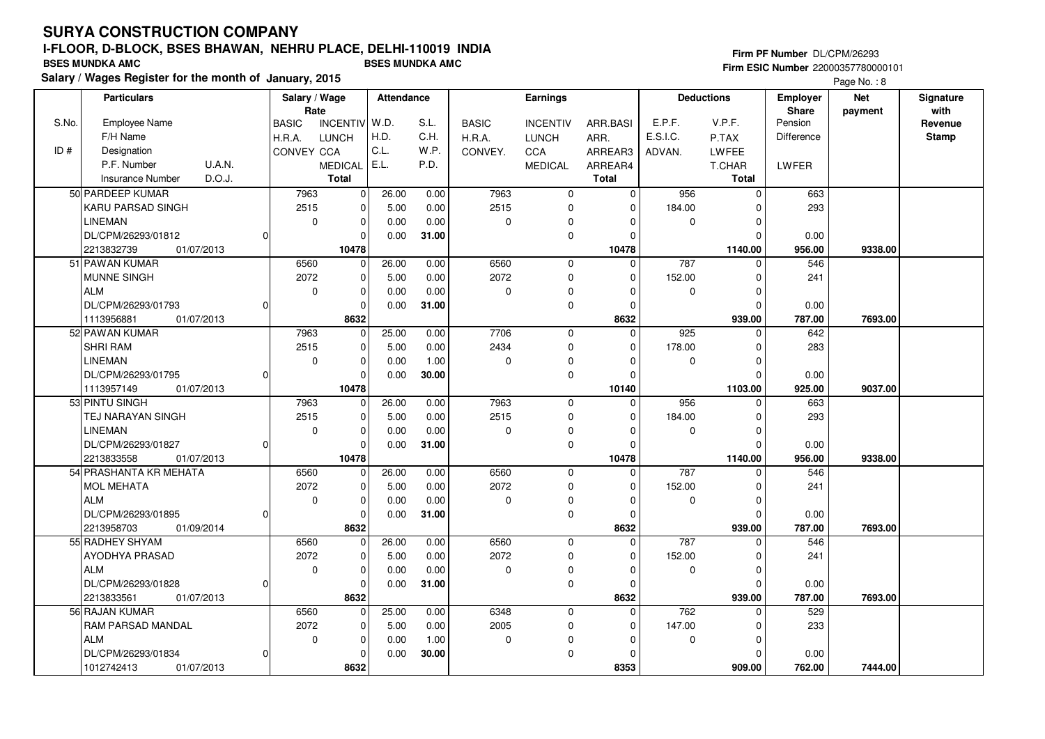**Salary / Wages Register for the month of January, 2015 BSES MUNDKA AMC BSES MUNDKA AMC**

## **Firm PF Number** DL/CPM/26293 **Firm ESIC Number** 22000357780000101

|       | <b>Particulars</b>                | Salary / Wage<br>Rate |                 | Attendance |       |              | <b>Earnings</b> |              |             | <b>Deductions</b> | <b>Employer</b><br>Share | <b>Net</b> | Signature<br>with |
|-------|-----------------------------------|-----------------------|-----------------|------------|-------|--------------|-----------------|--------------|-------------|-------------------|--------------------------|------------|-------------------|
| S.No. | Employee Name                     | <b>BASIC</b>          | <b>INCENTIV</b> | W.D.       | S.L.  | <b>BASIC</b> | <b>INCENTIV</b> | ARR.BASI     | E.P.F.      | V.P.F.            | Pension                  | payment    | Revenue           |
|       | F/H Name                          | H.R.A.                | <b>LUNCH</b>    | H.D.       | C.H.  | H.R.A.       | <b>LUNCH</b>    | ARR.         | E.S.I.C.    | P.TAX             | <b>Difference</b>        |            | <b>Stamp</b>      |
| ID#   | Designation                       | CONVEY CCA            |                 | C.L.       | W.P.  | CONVEY.      | CCA             | ARREAR3      | ADVAN.      | LWFEE             |                          |            |                   |
|       | P.F. Number<br><b>U.A.N.</b>      |                       | <b>MEDICAL</b>  | E.L.       | P.D.  |              | <b>MEDICAL</b>  | ARREAR4      |             | T.CHAR            | LWFER                    |            |                   |
|       | D.O.J.<br><b>Insurance Number</b> |                       | <b>Total</b>    |            |       |              |                 | <b>Total</b> |             | <b>Total</b>      |                          |            |                   |
|       | 50 PARDEEP KUMAR                  | 7963                  | $\Omega$        | 26.00      | 0.00  | 7963         | $\mathbf 0$     | $\mathbf 0$  | 956         | $\mathbf 0$       | 663                      |            |                   |
|       | KARU PARSAD SINGH                 | 2515                  | $\mathbf 0$     | 5.00       | 0.00  | 2515         | $\mathbf 0$     | $\Omega$     | 184.00      | $\Omega$          | 293                      |            |                   |
|       | <b>LINEMAN</b>                    | $\mathbf 0$           | $\mathbf 0$     | 0.00       | 0.00  | 0            | $\Omega$        | $\Omega$     | $\mathbf 0$ | $\mathbf 0$       |                          |            |                   |
|       | DL/CPM/26293/01812                |                       | $\Omega$        | 0.00       | 31.00 |              | $\mathbf 0$     | $\Omega$     |             | $\Omega$          | 0.00                     |            |                   |
|       | 2213832739<br>01/07/2013          |                       | 10478           |            |       |              |                 | 10478        |             | 1140.00           | 956.00                   | 9338.00    |                   |
|       | 51 PAWAN KUMAR                    | 6560                  | $\Omega$        | 26.00      | 0.00  | 6560         | $\mathbf 0$     | $\Omega$     | 787         | $\Omega$          | 546                      |            |                   |
|       | <b>MUNNE SINGH</b>                | 2072                  | $\mathbf 0$     | 5.00       | 0.00  | 2072         | $\mathbf 0$     | 0            | 152.00      | 0                 | 241                      |            |                   |
|       | <b>ALM</b>                        | $\mathbf 0$           | $\mathbf 0$     | 0.00       | 0.00  | 0            | $\Omega$        | $\Omega$     | 0           | $\mathbf 0$       |                          |            |                   |
|       | DL/CPM/26293/01793                |                       | $\Omega$        | 0.00       | 31.00 |              | $\mathbf 0$     | $\Omega$     |             | $\Omega$          | 0.00                     |            |                   |
|       | 1113956881<br>01/07/2013          |                       | 8632            |            |       |              |                 | 8632         |             | 939.00            | 787.00                   | 7693.00    |                   |
|       | 52 PAWAN KUMAR                    | 7963                  | $\Omega$        | 25.00      | 0.00  | 7706         | $\mathbf 0$     | $\Omega$     | 925         | $\mathbf 0$       | 642                      |            |                   |
|       | <b>SHRI RAM</b>                   | 2515                  | $\mathbf 0$     | 5.00       | 0.00  | 2434         | $\mathbf 0$     | $\Omega$     | 178.00      | $\mathbf 0$       | 283                      |            |                   |
|       | <b>LINEMAN</b>                    | $\mathbf 0$           | $\mathbf 0$     | 0.00       | 1.00  | 0            | $\mathbf 0$     | $\Omega$     | 0           | $\mathbf 0$       |                          |            |                   |
|       | DL/CPM/26293/01795                |                       | $\Omega$        | 0.00       | 30.00 |              | $\mathbf 0$     | $\Omega$     |             | $\Omega$          | 0.00                     |            |                   |
|       | 1113957149<br>01/07/2013          |                       | 10478           |            |       |              |                 | 10140        |             | 1103.00           | 925.00                   | 9037.00    |                   |
|       | 53 PINTU SINGH                    | 7963                  | $\mathbf 0$     | 26.00      | 0.00  | 7963         | $\mathbf 0$     | $\Omega$     | 956         | $\mathbf 0$       | 663                      |            |                   |
|       | TEJ NARAYAN SINGH                 | 2515                  | $\Omega$        | 5.00       | 0.00  | 2515         | $\mathbf 0$     | $\Omega$     | 184.00      | $\Omega$          | 293                      |            |                   |
|       | <b>LINEMAN</b>                    | 0                     | $\mathbf 0$     | 0.00       | 0.00  | 0            | $\mathbf 0$     | $\Omega$     | $\mathbf 0$ | $\mathbf 0$       |                          |            |                   |
|       | DL/CPM/26293/01827                |                       | 0               | 0.00       | 31.00 |              | $\mathbf 0$     | $\Omega$     |             | $\Omega$          | 0.00                     |            |                   |
|       | 2213833558<br>01/07/2013          |                       | 10478           |            |       |              |                 | 10478        |             | 1140.00           | 956.00                   | 9338.00    |                   |
|       | 54 PRASHANTA KR MEHATA            | 6560                  | $\Omega$        | 26.00      | 0.00  | 6560         | $\mathbf 0$     | $\Omega$     | 787         | $\Omega$          | 546                      |            |                   |
|       | <b>MOL MEHATA</b>                 | 2072                  | $\Omega$        | 5.00       | 0.00  | 2072         | $\mathbf 0$     | $\Omega$     | 152.00      | $\Omega$          | 241                      |            |                   |
|       | <b>ALM</b>                        | 0                     | $\mathbf 0$     | 0.00       | 0.00  | 0            | $\Omega$        | $\Omega$     | $\Omega$    | $\mathbf 0$       |                          |            |                   |
|       | DL/CPM/26293/01895                |                       | $\mathbf 0$     | 0.00       | 31.00 |              | $\mathbf 0$     | $\mathbf 0$  |             | $\Omega$          | 0.00                     |            |                   |
|       | 01/09/2014<br>2213958703          |                       | 8632            |            |       |              |                 | 8632         |             | 939.00            | 787.00                   | 7693.00    |                   |
|       | 55 RADHEY SHYAM                   | 6560                  | $\mathbf 0$     | 26.00      | 0.00  | 6560         | $\mathbf 0$     | $\Omega$     | 787         | $\mathbf 0$       | 546                      |            |                   |
|       | <b>AYODHYA PRASAD</b>             | 2072                  | $\Omega$        | 5.00       | 0.00  | 2072         | $\mathbf 0$     | $\Omega$     | 152.00      | $\Omega$          | 241                      |            |                   |
|       | <b>ALM</b>                        | $\mathbf 0$           | $\mathbf 0$     | 0.00       | 0.00  | 0            | 0               | 0            | $\mathbf 0$ | $\mathbf 0$       |                          |            |                   |
|       | DL/CPM/26293/01828                |                       | 0               | 0.00       | 31.00 |              | $\mathbf 0$     | $\Omega$     |             | $\mathbf 0$       | 0.00                     |            |                   |
|       | 2213833561<br>01/07/2013          |                       | 8632            |            |       |              |                 | 8632         |             | 939.00            | 787.00                   | 7693.00    |                   |
|       | 56 RAJAN KUMAR                    | 6560                  | $\Omega$        | 25.00      | 0.00  | 6348         | $\mathbf 0$     | $\Omega$     | 762         | $\mathbf 0$       | 529                      |            |                   |
|       | RAM PARSAD MANDAL                 | 2072                  | 0               | 5.00       | 0.00  | 2005         | 0               | 0            | 147.00      | $\mathbf 0$       | 233                      |            |                   |
|       | <b>ALM</b>                        | $\mathbf 0$           | $\mathbf 0$     | 0.00       | 1.00  | 0            | $\Omega$        | $\Omega$     | $\mathbf 0$ | $\mathbf 0$       |                          |            |                   |
|       | DL/CPM/26293/01834                |                       | $\Omega$        | 0.00       | 30.00 |              | $\Omega$        | $\Omega$     |             | $\Omega$          | 0.00                     |            |                   |
|       | 01/07/2013<br>1012742413          |                       | 8632            |            |       |              |                 | 8353         |             | 909.00            | 762.00                   | 7444.00    |                   |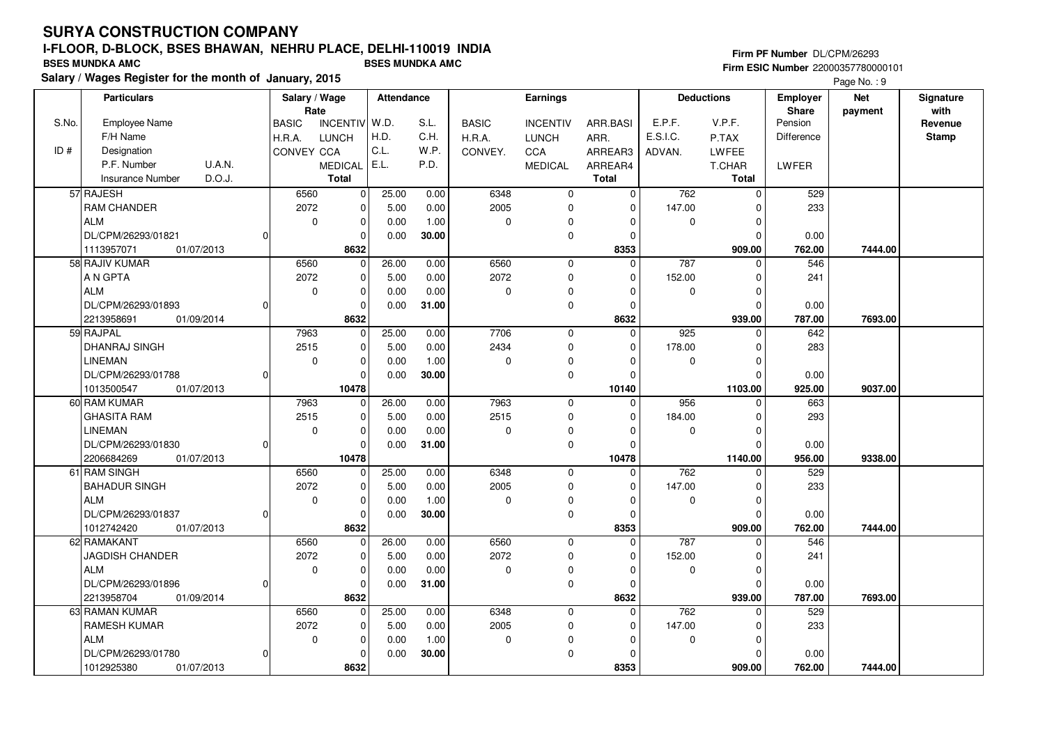### **Firm PF Number** DL/CPM/26293 **Firm ESIC Number** 22000357780000101

|       | <b>Particulars</b>                |                | Salary / Wage<br>Rate |                 | Attendance |       |              | Earnings        |              |             | <b>Deductions</b> | <b>Employer</b><br>Share | <b>Net</b> | Signature<br>with |
|-------|-----------------------------------|----------------|-----------------------|-----------------|------------|-------|--------------|-----------------|--------------|-------------|-------------------|--------------------------|------------|-------------------|
| S.No. | <b>Employee Name</b>              |                | <b>BASIC</b>          | <b>INCENTIV</b> | W.D.       | S.L.  | <b>BASIC</b> | <b>INCENTIV</b> | ARR.BASI     | E.P.F.      | V.P.F.            | Pension                  | payment    | Revenue           |
|       | F/H Name                          |                | H.R.A.                | <b>LUNCH</b>    | H.D.       | C.H.  | H.R.A.       | <b>LUNCH</b>    | ARR.         | E.S.I.C.    | P.TAX             | Difference               |            | <b>Stamp</b>      |
| ID#   | Designation                       |                | CONVEY CCA            |                 | C.L.       | W.P.  | CONVEY.      | CCA             | ARREAR3      | ADVAN.      | <b>LWFEE</b>      |                          |            |                   |
|       | U.A.N.<br>P.F. Number             |                |                       | <b>MEDICAL</b>  | E.L.       | P.D.  |              | <b>MEDICAL</b>  | ARREAR4      |             | T.CHAR            | <b>LWFER</b>             |            |                   |
|       | D.O.J.<br><b>Insurance Number</b> |                |                       | <b>Total</b>    |            |       |              |                 | <b>Total</b> |             | <b>Total</b>      |                          |            |                   |
|       | 57 RAJESH                         |                | 6560                  | 0               | 25.00      | 0.00  | 6348         | $\mathbf 0$     | $\Omega$     | 762         | $\mathbf 0$       | 529                      |            |                   |
|       | <b>RAM CHANDER</b>                |                | 2072                  | $\mathbf{0}$    | 5.00       | 0.00  | 2005         | 0               | $\mathbf 0$  | 147.00      | $\mathbf 0$       | 233                      |            |                   |
|       | <b>ALM</b>                        |                | $\mathbf 0$           | 0               | 0.00       | 1.00  | 0            | 0               | $\Omega$     | 0           | $\mathbf 0$       |                          |            |                   |
|       | DL/CPM/26293/01821                | $\Omega$       |                       | 0               | 0.00       | 30.00 |              | $\mathbf 0$     | $\Omega$     |             | $\Omega$          | 0.00                     |            |                   |
|       | 01/07/2013<br>1113957071          |                |                       | 8632            |            |       |              |                 | 8353         |             | 909.00            | 762.00                   | 7444.00    |                   |
|       | 58 RAJIV KUMAR                    |                | 6560                  | $\Omega$        | 26.00      | 0.00  | 6560         | 0               | $\Omega$     | 787         | $\Omega$          | 546                      |            |                   |
|       | A N GPTA                          |                | 2072                  | 0               | 5.00       | 0.00  | 2072         | 0               | $\Omega$     | 152.00      | $\mathbf 0$       | 241                      |            |                   |
|       | <b>ALM</b>                        |                | $\mathbf 0$           | 0               | 0.00       | 0.00  | 0            | $\mathbf 0$     | $\Omega$     | 0           | $\mathbf 0$       |                          |            |                   |
|       | DL/CPM/26293/01893                | $\Omega$       |                       | $\Omega$        | 0.00       | 31.00 |              | $\pmb{0}$       | $\Omega$     |             | $\Omega$          | 0.00                     |            |                   |
|       | 2213958691<br>01/09/2014          |                |                       | 8632            |            |       |              |                 | 8632         |             | 939.00            | 787.00                   | 7693.00    |                   |
|       | 59 RAJPAL                         |                | 7963                  | $\mathbf{0}$    | 25.00      | 0.00  | 7706         | $\mathbf 0$     | $\mathbf 0$  | 925         | $\mathbf 0$       | 642                      |            |                   |
|       | <b>DHANRAJ SINGH</b>              |                | 2515                  | 0               | 5.00       | 0.00  | 2434         | $\Omega$        | $\Omega$     | 178.00      | $\mathbf 0$       | 283                      |            |                   |
|       | <b>LINEMAN</b>                    |                | $\mathbf 0$           | 0               | 0.00       | 1.00  | $\mathbf 0$  | 0               | $\Omega$     | $\mathbf 0$ | $\mathbf 0$       |                          |            |                   |
|       | DL/CPM/26293/01788                | 0              |                       | $\Omega$        | 0.00       | 30.00 |              | 0               | $\Omega$     |             | $\Omega$          | 0.00                     |            |                   |
|       | 1013500547<br>01/07/2013          |                |                       | 10478           |            |       |              |                 | 10140        |             | 1103.00           | 925.00                   | 9037.00    |                   |
|       | 60 RAM KUMAR                      |                | 7963                  | 0               | 26.00      | 0.00  | 7963         | $\mathbf 0$     | $\mathbf 0$  | 956         | $\mathbf 0$       | 663                      |            |                   |
|       | <b>GHASITA RAM</b>                |                | 2515                  | 0               | 5.00       | 0.00  | 2515         | $\mathbf 0$     | $\Omega$     | 184.00      | $\Omega$          | 293                      |            |                   |
|       | <b>LINEMAN</b>                    |                | $\mathbf 0$           | 0               | 0.00       | 0.00  | 0            | $\mathbf 0$     | $\Omega$     | $\mathbf 0$ | $\mathbf 0$       |                          |            |                   |
|       | DL/CPM/26293/01830                | 0              |                       | $\Omega$        | 0.00       | 31.00 |              | 0               | $\Omega$     |             | $\Omega$          | 0.00                     |            |                   |
|       | 2206684269<br>01/07/2013          |                |                       | 10478           |            |       |              |                 | 10478        |             | 1140.00           | 956.00                   | 9338.00    |                   |
|       | 61 RAM SINGH                      |                | 6560                  | 0               | 25.00      | 0.00  | 6348         | 0               | $\Omega$     | 762         | $\mathbf 0$       | 529                      |            |                   |
|       | <b>BAHADUR SINGH</b>              |                | 2072                  | 0               | 5.00       | 0.00  | 2005         | 0               | $\Omega$     | 147.00      | $\mathbf 0$       | 233                      |            |                   |
|       | <b>ALM</b>                        |                | $\mathbf 0$           | 0               | 0.00       | 1.00  | $\Omega$     | $\mathbf 0$     | $\Omega$     | $\mathbf 0$ | $\mathbf 0$       |                          |            |                   |
|       | DL/CPM/26293/01837                | $\Omega$       |                       | 0               | 0.00       | 30.00 |              | 0               | $\Omega$     |             | $\mathbf 0$       | 0.00                     |            |                   |
|       | 1012742420<br>01/07/2013          |                |                       | 8632            |            |       |              |                 | 8353         |             | 909.00            | 762.00                   | 7444.00    |                   |
|       | 62 RAMAKANT                       |                | 6560                  | 0               | 26.00      | 0.00  | 6560         | $\mathbf 0$     | $\Omega$     | 787         | $\Omega$          | 546                      |            |                   |
|       | <b>JAGDISH CHANDER</b>            |                | 2072                  | 0               | 5.00       | 0.00  | 2072         | $\mathbf 0$     | $\Omega$     | 152.00      | $\mathbf 0$       | 241                      |            |                   |
|       | <b>ALM</b>                        |                | $\mathbf 0$           | 0               | 0.00       | 0.00  | 0            | 0               | $\Omega$     | $\mathbf 0$ | $\mathbf 0$       |                          |            |                   |
|       | DL/CPM/26293/01896                | $\overline{0}$ |                       | 0               | 0.00       | 31.00 |              | $\mathbf 0$     | $\Omega$     |             | $\mathbf 0$       | 0.00                     |            |                   |
|       | 2213958704<br>01/09/2014          |                |                       | 8632            |            |       |              |                 | 8632         |             | 939.00            | 787.00                   | 7693.00    |                   |
|       | 63 RAMAN KUMAR                    |                | 6560                  | 0               | 25.00      | 0.00  | 6348         | $\mathbf 0$     | $\Omega$     | 762         | $\Omega$          | 529                      |            |                   |
|       | <b>RAMESH KUMAR</b>               |                | 2072                  | 0               | 5.00       | 0.00  | 2005         | 0               | $\Omega$     | 147.00      | $\mathbf 0$       | 233                      |            |                   |
|       | <b>ALM</b>                        |                | 0                     | 0               | 0.00       | 1.00  | 0            | $\Omega$        | $\Omega$     | 0           | 0                 |                          |            |                   |
|       | DL/CPM/26293/01780                | 0              |                       | $\Omega$        | 0.00       | 30.00 |              | $\Omega$        | $\Omega$     |             | $\Omega$          | 0.00                     |            |                   |
|       | 1012925380<br>01/07/2013          |                |                       | 8632            |            |       |              |                 | 8353         |             | 909.00            | 762.00                   | 7444.00    |                   |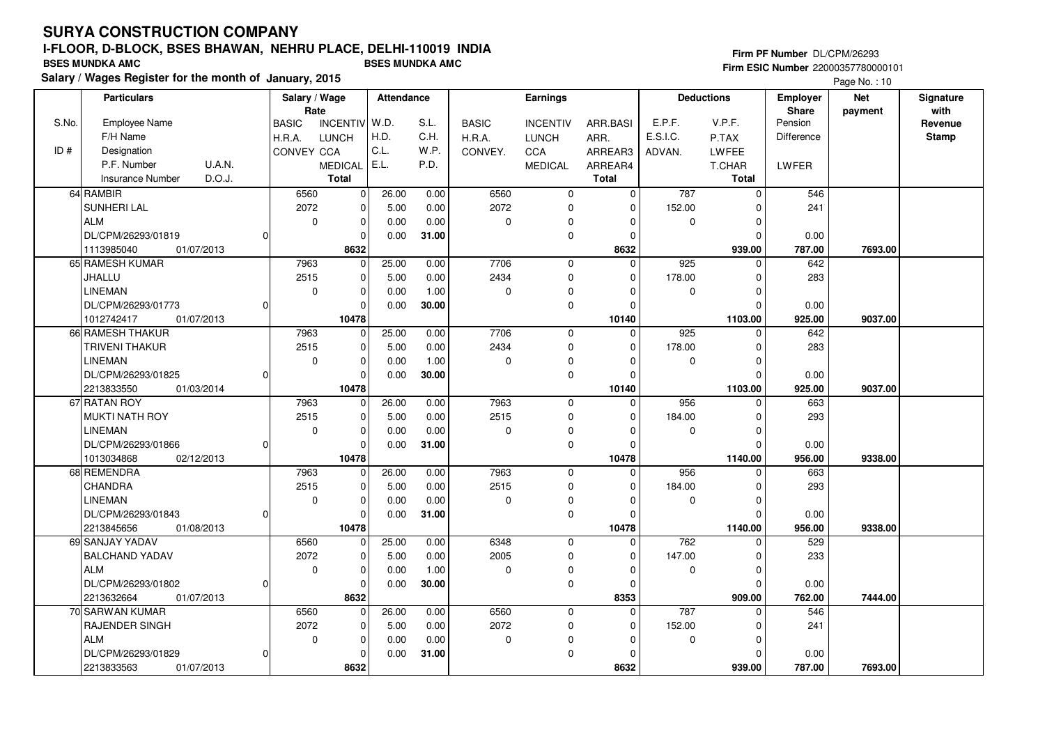## **Firm PF Number** DL/CPM/26293 **Firm ESIC Number** 22000357780000101

| Rate<br>Share<br>payment<br>S.No.<br>Employee Name<br>  W.D.<br>S.L.<br>E.P.F.<br>V.P.F.<br>Pension<br><b>INCENTIV</b><br><b>BASIC</b><br><b>BASIC</b><br><b>INCENTIV</b><br>ARR.BASI<br>F/H Name<br>H.D.<br>C.H.<br>E.S.I.C.<br><b>LUNCH</b><br>Difference<br>H.R.A.<br>H.R.A.<br><b>LUNCH</b><br>ARR.<br>P.TAX<br>C.L.<br>ID#<br>Designation<br>W.P.<br><b>CONVEY CCA</b><br>CONVEY.<br>CCA<br>ARREAR3<br>LWFEE<br>ADVAN.<br>E.L.<br>P.F. Number<br><b>U.A.N.</b><br>P.D.<br><b>MEDICAL</b><br><b>MEDICAL</b><br>ARREAR4<br>T.CHAR<br>LWFER<br>D.O.J.<br><b>Total</b><br><b>Total</b><br><b>Insurance Number</b><br>Total<br>64 RAMBIR<br>6560<br>0.00<br>6560<br>$\mathbf 0$<br>787<br>546<br>0<br>26.00<br>$\mathbf 0$<br>$\mathbf 0$<br>SUNHERI LAL<br>2072<br>2072<br>$\mathbf 0$<br>152.00<br>241<br>5.00<br>0.00<br>$\mathbf 0$<br>0<br>$\Omega$ |                 |
|----------------------------------------------------------------------------------------------------------------------------------------------------------------------------------------------------------------------------------------------------------------------------------------------------------------------------------------------------------------------------------------------------------------------------------------------------------------------------------------------------------------------------------------------------------------------------------------------------------------------------------------------------------------------------------------------------------------------------------------------------------------------------------------------------------------------------------------------------------|-----------------|
|                                                                                                                                                                                                                                                                                                                                                                                                                                                                                                                                                                                                                                                                                                                                                                                                                                                          | with<br>Revenue |
|                                                                                                                                                                                                                                                                                                                                                                                                                                                                                                                                                                                                                                                                                                                                                                                                                                                          | <b>Stamp</b>    |
|                                                                                                                                                                                                                                                                                                                                                                                                                                                                                                                                                                                                                                                                                                                                                                                                                                                          |                 |
|                                                                                                                                                                                                                                                                                                                                                                                                                                                                                                                                                                                                                                                                                                                                                                                                                                                          |                 |
|                                                                                                                                                                                                                                                                                                                                                                                                                                                                                                                                                                                                                                                                                                                                                                                                                                                          |                 |
|                                                                                                                                                                                                                                                                                                                                                                                                                                                                                                                                                                                                                                                                                                                                                                                                                                                          |                 |
|                                                                                                                                                                                                                                                                                                                                                                                                                                                                                                                                                                                                                                                                                                                                                                                                                                                          |                 |
| <b>ALM</b><br>$\mathbf 0$<br>0.00<br>0<br>0<br>0.00<br>0<br>0<br>0<br>$\Omega$                                                                                                                                                                                                                                                                                                                                                                                                                                                                                                                                                                                                                                                                                                                                                                           |                 |
| $\mathbf 0$<br>DL/CPM/26293/01819<br>31.00<br>0.00<br>0<br>0.00<br>$\Omega$<br>$\Omega$<br>U                                                                                                                                                                                                                                                                                                                                                                                                                                                                                                                                                                                                                                                                                                                                                             |                 |
| 01/07/2013<br>8632<br>8632<br>787.00<br>1113985040<br>939.00<br>7693.00                                                                                                                                                                                                                                                                                                                                                                                                                                                                                                                                                                                                                                                                                                                                                                                  |                 |
| 7706<br>65 RAMESH KUMAR<br>7963<br>25.00<br>0.00<br>$\Omega$<br>925<br>642<br>$\mathbf 0$<br>$\mathbf 0$<br>$\Omega$                                                                                                                                                                                                                                                                                                                                                                                                                                                                                                                                                                                                                                                                                                                                     |                 |
| 2434<br>2515<br>JHALLU<br>5.00<br>0.00<br>178.00<br>283<br>0<br>0<br>$\Omega$<br>$\Omega$                                                                                                                                                                                                                                                                                                                                                                                                                                                                                                                                                                                                                                                                                                                                                                |                 |
| <b>LINEMAN</b><br>$\mathbf 0$<br>1.00<br>0<br>$\mathbf 0$<br>0.00<br>$\Omega$<br>0<br>$\Omega$<br>$\Omega$                                                                                                                                                                                                                                                                                                                                                                                                                                                                                                                                                                                                                                                                                                                                               |                 |
| DL/CPM/26293/01773<br>30.00<br>$\mathbf 0$<br>$\Omega$<br>0.00<br>$\Omega$<br>$\Omega$<br>0.00                                                                                                                                                                                                                                                                                                                                                                                                                                                                                                                                                                                                                                                                                                                                                           |                 |
| 10478<br>1012742417<br>01/07/2013<br>10140<br>1103.00<br>925.00<br>9037.00                                                                                                                                                                                                                                                                                                                                                                                                                                                                                                                                                                                                                                                                                                                                                                               |                 |
| 66 RAMESH THAKUR<br>7706<br>7963<br>25.00<br>0.00<br>$\mathbf 0$<br>$\Omega$<br>925<br>642<br>$\mathbf 0$<br>$\Omega$                                                                                                                                                                                                                                                                                                                                                                                                                                                                                                                                                                                                                                                                                                                                    |                 |
| <b>TRIVENI THAKUR</b><br>2515<br>0.00<br>2434<br>0<br>5.00<br>$\mathbf 0$<br>178.00<br>283<br>0<br>$\Omega$                                                                                                                                                                                                                                                                                                                                                                                                                                                                                                                                                                                                                                                                                                                                              |                 |
| <b>LINEMAN</b><br>$\mathbf 0$<br>$\mathbf 0$<br>1.00<br>$\pmb{0}$<br>$\Omega$<br>0.00<br>$\Omega$<br>$\Omega$<br>0                                                                                                                                                                                                                                                                                                                                                                                                                                                                                                                                                                                                                                                                                                                                       |                 |
| DL/CPM/26293/01825<br>30.00<br>$\mathbf 0$<br>$\mathbf{0}$<br>0.00<br>$\Omega$<br>$\Omega$<br>0.00<br>$\Omega$                                                                                                                                                                                                                                                                                                                                                                                                                                                                                                                                                                                                                                                                                                                                           |                 |
| 2213833550<br>01/03/2014<br>10478<br>10140<br>1103.00<br>925.00<br>9037.00                                                                                                                                                                                                                                                                                                                                                                                                                                                                                                                                                                                                                                                                                                                                                                               |                 |
| 7963<br>67 RATAN ROY<br>7963<br>26.00<br>0.00<br>$\mathbf 0$<br>956<br>663<br>$\mathbf 0$<br>0<br>0                                                                                                                                                                                                                                                                                                                                                                                                                                                                                                                                                                                                                                                                                                                                                      |                 |
| MUKTI NATH ROY<br>2515<br>2515<br>293<br>$\mathbf 0$<br>5.00<br>0.00<br>$\mathbf 0$<br>184.00<br>$\Omega$<br>$\Omega$                                                                                                                                                                                                                                                                                                                                                                                                                                                                                                                                                                                                                                                                                                                                    |                 |
| <b>LINEMAN</b><br>0<br>$\mathbf 0$<br>0.00<br>0.00<br>0<br>$\mathbf 0$<br>0<br>$\Omega$<br>$\Omega$                                                                                                                                                                                                                                                                                                                                                                                                                                                                                                                                                                                                                                                                                                                                                      |                 |
| DL/CPM/26293/01866<br>31.00<br>$\mathbf 0$<br>0.00<br>$\Omega$<br>0.00<br>$\Omega$<br>$\Omega$<br>$\Omega$                                                                                                                                                                                                                                                                                                                                                                                                                                                                                                                                                                                                                                                                                                                                               |                 |
| 1013034868<br>10478<br>10478<br>1140.00<br>956.00<br>9338.00<br>02/12/2013                                                                                                                                                                                                                                                                                                                                                                                                                                                                                                                                                                                                                                                                                                                                                                               |                 |
| 68 REMENDRA<br>0.00<br>7963<br>663<br>7963<br>26.00<br>$\mathbf 0$<br>$\mathbf 0$<br>956<br>0<br>$\Omega$                                                                                                                                                                                                                                                                                                                                                                                                                                                                                                                                                                                                                                                                                                                                                |                 |
| CHANDRA<br>2515<br>2515<br>5.00<br>0.00<br>$\mathbf 0$<br>184.00<br>293<br>$\mathbf 0$<br>$\Omega$<br>$\Omega$                                                                                                                                                                                                                                                                                                                                                                                                                                                                                                                                                                                                                                                                                                                                           |                 |
| <b>LINEMAN</b><br>0.00<br>0<br>0<br>$\mathbf 0$<br>0.00<br>$\Omega$<br>$\mathbf 0$<br>$\mathbf 0$<br>0                                                                                                                                                                                                                                                                                                                                                                                                                                                                                                                                                                                                                                                                                                                                                   |                 |
| 31.00<br>DL/CPM/26293/01843<br>0<br>0.00<br>$\pmb{0}$<br>$\Omega$<br>0.00<br>0<br>$\Omega$                                                                                                                                                                                                                                                                                                                                                                                                                                                                                                                                                                                                                                                                                                                                                               |                 |
| 1140.00<br>2213845656<br>10478<br>10478<br>956.00<br>9338.00<br>01/08/2013                                                                                                                                                                                                                                                                                                                                                                                                                                                                                                                                                                                                                                                                                                                                                                               |                 |
| 69 SANJAY YADAV<br>762<br>6560<br>25.00<br>0.00<br>6348<br>$\Omega$<br>529<br>0<br>$\mathbf 0$<br>$\Omega$                                                                                                                                                                                                                                                                                                                                                                                                                                                                                                                                                                                                                                                                                                                                               |                 |
| 2072<br>2005<br><b>BALCHAND YADAV</b><br>0<br>5.00<br>0.00<br>$\mathbf 0$<br>147.00<br>233<br>$\Omega$<br>$\Omega$                                                                                                                                                                                                                                                                                                                                                                                                                                                                                                                                                                                                                                                                                                                                       |                 |
| <b>ALM</b><br>$\mathbf 0$<br>$\mathbf 0$<br>1.00<br>0<br>0.00<br>0<br>0<br>0<br>$\Omega$                                                                                                                                                                                                                                                                                                                                                                                                                                                                                                                                                                                                                                                                                                                                                                 |                 |
| 30.00<br>$\mathbf 0$<br>DL/CPM/26293/01802<br>0.00<br>$\Omega$<br>0.00<br>0<br>0<br>$\Omega$                                                                                                                                                                                                                                                                                                                                                                                                                                                                                                                                                                                                                                                                                                                                                             |                 |
| 2213632664<br>01/07/2013<br>8632<br>8353<br>909.00<br>762.00<br>7444.00                                                                                                                                                                                                                                                                                                                                                                                                                                                                                                                                                                                                                                                                                                                                                                                  |                 |
| 70 SARWAN KUMAR<br>6560<br>26.00<br>6560<br>787<br>546<br>0.00<br>$\mathbf 0$<br>$\Omega$<br>$\mathbf 0$<br>$\Omega$                                                                                                                                                                                                                                                                                                                                                                                                                                                                                                                                                                                                                                                                                                                                     |                 |
| 2072<br>2072<br>152.00<br><b>RAJENDER SINGH</b><br>$\mathbf 0$<br>5.00<br>0.00<br>$\mathbf 0$<br>241<br>0<br>$\Omega$                                                                                                                                                                                                                                                                                                                                                                                                                                                                                                                                                                                                                                                                                                                                    |                 |
| <b>ALM</b><br>$\mathbf 0$<br>$\mathbf 0$<br>0.00<br>0<br>0.00<br>$\Omega$<br>0<br>$\Omega$<br>0                                                                                                                                                                                                                                                                                                                                                                                                                                                                                                                                                                                                                                                                                                                                                          |                 |
| DL/CPM/26293/01829<br>$\mathbf 0$<br>0.00<br>31.00<br>0.00<br>0<br>$\Omega$<br>$\Omega$<br>$\Omega$                                                                                                                                                                                                                                                                                                                                                                                                                                                                                                                                                                                                                                                                                                                                                      |                 |
| 8632<br>2213833563<br>01/07/2013<br>8632<br>939.00<br>787.00<br>7693.00                                                                                                                                                                                                                                                                                                                                                                                                                                                                                                                                                                                                                                                                                                                                                                                  |                 |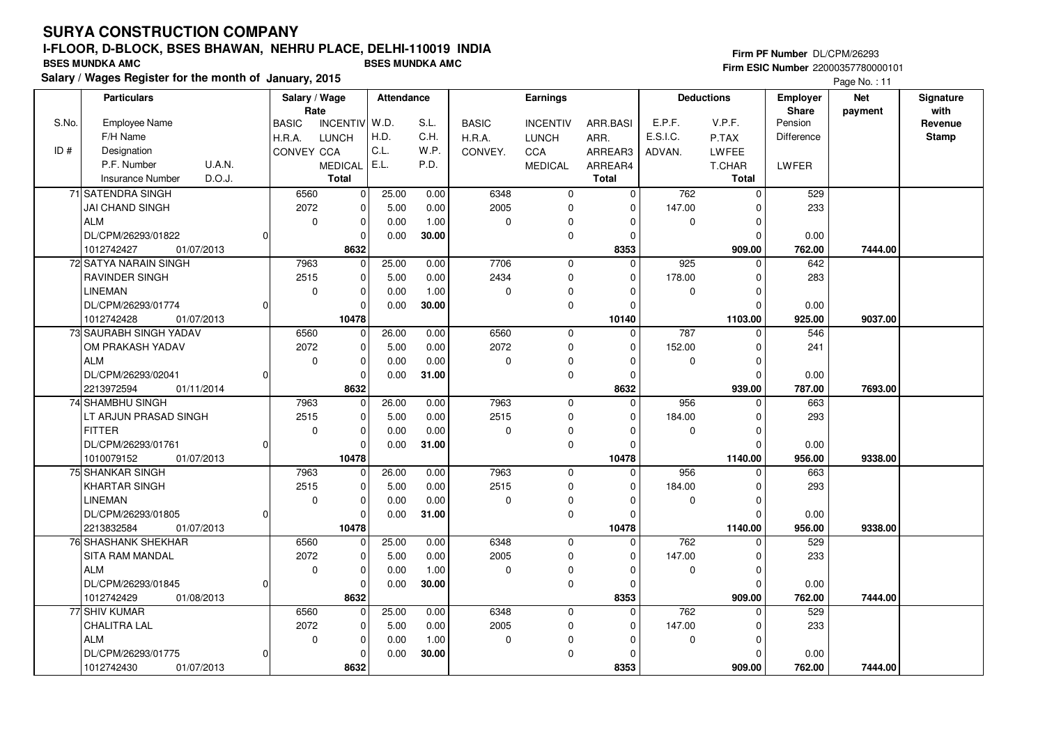**Salary / Wages Register for the month of January, 2015 BSES MUNDKA AMC BSES MUNDKA AMC**

## **Firm PF Number** DL/CPM/26293 **Firm ESIC Number** 22000357780000101

|       | <b>Particulars</b>                |              | Salary / Wage<br>Rate |                 | Attendance |       |              | Earnings        |              |             | <b>Deductions</b> | <b>Employer</b><br><b>Share</b> | <b>Net</b> | Signature<br>with |
|-------|-----------------------------------|--------------|-----------------------|-----------------|------------|-------|--------------|-----------------|--------------|-------------|-------------------|---------------------------------|------------|-------------------|
| S.No. | Employee Name                     | <b>BASIC</b> |                       | <b>INCENTIV</b> | W.D.       | S.L.  | <b>BASIC</b> | <b>INCENTIV</b> | ARR.BASI     | E.P.F.      | V.P.F.            | Pension                         | payment    | Revenue           |
|       | F/H Name                          | H.R.A.       |                       | <b>LUNCH</b>    | H.D.       | C.H.  | H.R.A.       | <b>LUNCH</b>    | ARR.         | E.S.I.C.    | P.TAX             | Difference                      |            | <b>Stamp</b>      |
| ID#   | Designation                       |              | CONVEY CCA            |                 | C.L.       | W.P.  | CONVEY.      | CCA             | ARREAR3      | ADVAN.      | LWFEE             |                                 |            |                   |
|       | <b>U.A.N.</b><br>P.F. Number      |              |                       | <b>MEDICAL</b>  | E.L.       | P.D.  |              | <b>MEDICAL</b>  | ARREAR4      |             | T.CHAR            | LWFER                           |            |                   |
|       | D.O.J.<br><b>Insurance Number</b> |              |                       | <b>Total</b>    |            |       |              |                 | <b>Total</b> |             | Total             |                                 |            |                   |
|       | 71 SATENDRA SINGH                 |              | 6560                  | $\Omega$        | 25.00      | 0.00  | 6348         | $\mathbf 0$     | 0            | 762         | $\Omega$          | 529                             |            |                   |
|       | JAI CHAND SINGH                   |              | 2072                  | $\mathbf 0$     | 5.00       | 0.00  | 2005         | 0               | 0            | 147.00      | $\Omega$          | 233                             |            |                   |
|       | ALM                               |              | $\mathbf 0$           | 0               | 0.00       | 1.00  | 0            | 0               | 0            | 0           | $\Omega$          |                                 |            |                   |
|       | DL/CPM/26293/01822                | $\Omega$     |                       | $\Omega$        | 0.00       | 30.00 |              | $\mathbf 0$     | $\Omega$     |             | n                 | 0.00                            |            |                   |
|       | 1012742427<br>01/07/2013          |              |                       | 8632            |            |       |              |                 | 8353         |             | 909.00            | 762.00                          | 7444.00    |                   |
|       | 72 SATYA NARAIN SINGH             |              | 7963                  | $\mathbf 0$     | 25.00      | 0.00  | 7706         | $\mathbf 0$     | 0            | 925         | $\Omega$          | 642                             |            |                   |
|       | <b>RAVINDER SINGH</b>             |              | 2515                  | $\mathbf 0$     | 5.00       | 0.00  | 2434         | $\mathbf 0$     | $\Omega$     | 178.00      | $\Omega$          | 283                             |            |                   |
|       | <b>LINEMAN</b>                    |              | $\mathbf 0$           | 0               | 0.00       | 1.00  | 0            | $\mathbf 0$     | $\Omega$     | 0           |                   |                                 |            |                   |
|       | DL/CPM/26293/01774                | $\Omega$     |                       | $\Omega$        | 0.00       | 30.00 |              | 0               | $\Omega$     |             | $\Omega$          | 0.00                            |            |                   |
|       | 1012742428<br>01/07/2013          |              |                       | 10478           |            |       |              |                 | 10140        |             | 1103.00           | 925.00                          | 9037.00    |                   |
|       | 73 SAURABH SINGH YADAV            |              | 6560                  | $\mathbf 0$     | 26.00      | 0.00  | 6560         | $\mathbf 0$     | $\mathbf 0$  | 787         | O                 | 546                             |            |                   |
|       | OM PRAKASH YADAV                  |              | 2072                  | 0               | 5.00       | 0.00  | 2072         | $\mathbf 0$     | 0            | 152.00      | <sup>0</sup>      | 241                             |            |                   |
|       | ALM                               |              | $\mathbf 0$           | 0               | 0.00       | 0.00  | 0            | 0               | $\Omega$     | 0           | $\Omega$          |                                 |            |                   |
|       | DL/CPM/26293/02041                | $\Omega$     |                       | 0               | 0.00       | 31.00 |              | 0               | $\Omega$     |             | C                 | 0.00                            |            |                   |
|       | 2213972594<br>01/11/2014          |              |                       | 8632            |            |       |              |                 | 8632         |             | 939.00            | 787.00                          | 7693.00    |                   |
|       | 74 SHAMBHU SINGH                  |              | 7963                  | 0               | 26.00      | 0.00  | 7963         | $\mathbf 0$     | 0            | 956         | $\Omega$          | 663                             |            |                   |
|       | LT ARJUN PRASAD SINGH             |              | 2515                  | 0               | 5.00       | 0.00  | 2515         | $\mathbf 0$     | $\Omega$     | 184.00      | n                 | 293                             |            |                   |
|       | <b>FITTER</b>                     |              | $\mathbf 0$           | $\mathbf 0$     | 0.00       | 0.00  | 0            | $\mathbf 0$     | $\Omega$     | $\mathbf 0$ | $\Omega$          |                                 |            |                   |
|       | DL/CPM/26293/01761                | 0l           |                       | $\Omega$        | 0.00       | 31.00 |              | $\mathbf 0$     | $\Omega$     |             |                   | 0.00                            |            |                   |
|       | 1010079152<br>01/07/2013          |              |                       | 10478           |            |       |              |                 | 10478        |             | 1140.00           | 956.00                          | 9338.00    |                   |
|       | 75 SHANKAR SINGH                  |              | 7963                  | $\mathbf 0$     | 26.00      | 0.00  | 7963         | $\mathbf 0$     | $\Omega$     | 956         |                   | 663                             |            |                   |
|       | KHARTAR SINGH                     |              | 2515                  | $\mathbf 0$     | 5.00       | 0.00  | 2515         | $\mathbf 0$     | $\Omega$     | 184.00      | ŋ                 | 293                             |            |                   |
|       | <b>LINEMAN</b>                    |              | $\mathbf 0$           | $\Omega$        | 0.00       | 0.00  | 0            | $\mathbf 0$     | $\Omega$     | $\Omega$    | $\Omega$          |                                 |            |                   |
|       | DL/CPM/26293/01805                | $\Omega$     |                       | 0               | 0.00       | 31.00 |              | $\mathbf 0$     | $\Omega$     |             |                   | 0.00                            |            |                   |
|       | 2213832584<br>01/07/2013          |              |                       | 10478           |            |       |              |                 | 10478        |             | 1140.00           | 956.00                          | 9338.00    |                   |
|       | 76 SHASHANK SHEKHAR               |              | 6560                  | $\mathbf{0}$    | 25.00      | 0.00  | 6348         | $\mathbf 0$     | $\Omega$     | 762         |                   | 529                             |            |                   |
|       | <b>SITA RAM MANDAL</b>            |              | 2072                  | $\mathbf 0$     | 5.00       | 0.00  | 2005         | $\mathbf 0$     | $\Omega$     | 147.00      | $\Omega$          | 233                             |            |                   |
|       | <b>ALM</b>                        |              | $\mathbf 0$           | $\mathbf 0$     | 0.00       | 1.00  | 0            | 0               | $\Omega$     | 0           | n                 |                                 |            |                   |
|       | DL/CPM/26293/01845                | 0l           |                       | $\mathbf 0$     | 0.00       | 30.00 |              | $\mathbf 0$     | 0            |             | $\Omega$          | 0.00                            |            |                   |
|       | 1012742429<br>01/08/2013          |              |                       | 8632            |            |       |              |                 | 8353         |             | 909.00            | 762.00                          | 7444.00    |                   |
|       | 77 SHIV KUMAR                     |              | 6560                  | $\mathbf 0$     | 25.00      | 0.00  | 6348         | $\mathbf 0$     | $\Omega$     | 762         | $\Omega$          | 529                             |            |                   |
|       | <b>CHALITRA LAL</b>               |              | 2072                  | $\mathbf 0$     | 5.00       | 0.00  | 2005         | $\mathbf 0$     | $\Omega$     | 147.00      | O                 | 233                             |            |                   |
|       | <b>ALM</b>                        |              | $\mathbf 0$           | 0               | 0.00       | 1.00  | 0            | 0               | $\Omega$     | 0           | n                 |                                 |            |                   |
|       | DL/CPM/26293/01775                | 0            |                       | $\mathbf 0$     | 0.00       | 30.00 |              | $\pmb{0}$       |              |             |                   | 0.00                            |            |                   |
|       | 1012742430<br>01/07/2013          |              |                       | 8632            |            |       |              |                 | 8353         |             | 909.00            | 762.00                          | 7444.00    |                   |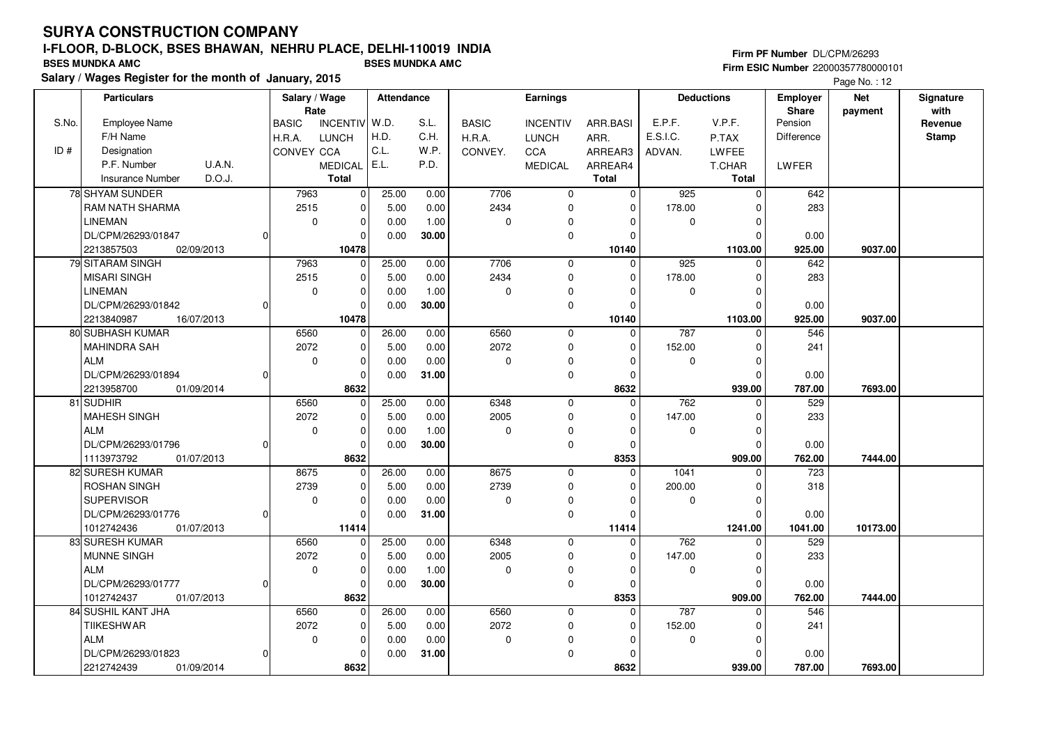## **Firm PF Number** DL/CPM/26293 **Firm ESIC Number** 22000357780000101

|       | <b>Particulars</b>                     |          | Salary / Wage        |                 | <b>Attendance</b> |       |              | Earnings        |                     |             | <b>Deductions</b>       | <b>Employer</b>   | <b>Net</b> | Signature       |
|-------|----------------------------------------|----------|----------------------|-----------------|-------------------|-------|--------------|-----------------|---------------------|-------------|-------------------------|-------------------|------------|-----------------|
| S.No. | <b>Employee Name</b>                   |          | Rate<br><b>BASIC</b> | <b>INCENTIV</b> | W.D.              | S.L.  | <b>BASIC</b> | <b>INCENTIV</b> | ARR.BASI            | E.P.F.      | V.P.F.                  | Share<br>Pension  | payment    | with<br>Revenue |
|       | F/H Name                               |          | H.R.A.               | <b>LUNCH</b>    | H.D.              | C.H.  | H.R.A.       | <b>LUNCH</b>    | ARR.                | E.S.I.C.    | P.TAX                   | <b>Difference</b> |            | <b>Stamp</b>    |
| ID#   | Designation                            |          | CONVEY CCA           |                 | C.L.              | W.P.  | CONVEY.      | CCA             | ARREAR3             |             | LWFEE                   |                   |            |                 |
|       | P.F. Number<br>U.A.N.                  |          |                      | <b>MEDICAL</b>  | E.L.              | P.D.  |              | <b>MEDICAL</b>  | ARREAR4             | ADVAN.      | T.CHAR                  | LWFER             |            |                 |
|       | D.O.J.<br><b>Insurance Number</b>      |          |                      | <b>Total</b>    |                   |       |              |                 | <b>Total</b>        |             | <b>Total</b>            |                   |            |                 |
|       | 78 SHYAM SUNDER                        |          | 7963                 |                 | 25.00             | 0.00  | 7706         | $\mathbf 0$     | $\mathbf 0$         | 925         | $\mathbf 0$             | 642               |            |                 |
|       | <b>RAM NATH SHARMA</b>                 |          | 2515                 | 0<br>0          | 5.00              | 0.00  | 2434         | $\mathbf 0$     | $\mathbf 0$         | 178.00      | $\Omega$                | 283               |            |                 |
|       | <b>LINEMAN</b>                         |          | $\mathbf 0$          | $\mathbf 0$     | 0.00              | 1.00  | 0            | $\Omega$        | 0                   | $\mathbf 0$ | $\Omega$                |                   |            |                 |
|       | DL/CPM/26293/01847                     | 0        |                      |                 |                   |       |              | $\mathbf 0$     | 0                   |             | $\Omega$                |                   |            |                 |
|       | 2213857503<br>02/09/2013               |          |                      | 0<br>10478      | 0.00              | 30.00 |              |                 | 10140               |             |                         | 0.00<br>925.00    | 9037.00    |                 |
|       | 79 SITARAM SINGH                       |          | 7963                 | $\mathbf 0$     | 25.00             | 0.00  | 7706         | $\mathbf 0$     | $\Omega$            | 925         | 1103.00<br>$\Omega$     | 642               |            |                 |
|       |                                        |          | 2515                 |                 |                   |       | 2434         |                 |                     |             | $\Omega$                | 283               |            |                 |
|       | <b>MISARI SINGH</b>                    |          |                      | 0               | 5.00              | 0.00  |              | 0<br>$\Omega$   | 0                   | 178.00      |                         |                   |            |                 |
|       | <b>LINEMAN</b>                         |          | $\mathbf 0$          | 0               | 0.00              | 1.00  | $\mathbf 0$  |                 | $\Omega$            | $\mathbf 0$ | $\Omega$                |                   |            |                 |
|       | DL/CPM/26293/01842                     | 0l       |                      | 0               | 0.00              | 30.00 |              | $\mathbf 0$     | $\Omega$            |             | $\Omega$                | 0.00              |            |                 |
|       | 2213840987<br>16/07/2013               |          |                      | 10478           |                   |       | 6560         |                 | 10140<br>$\Omega$   |             | 1103.00<br>$\Omega$     | 925.00            | 9037.00    |                 |
|       | 80 SUBHASH KUMAR                       |          | 6560                 | 0               | 26.00             | 0.00  |              | $\mathbf 0$     |                     | 787         |                         | 546               |            |                 |
|       | <b>MAHINDRA SAH</b>                    |          | 2072                 | 0               | 5.00              | 0.00  | 2072         | 0               | 0                   | 152.00      | 0                       | 241               |            |                 |
|       | <b>ALM</b>                             |          | $\mathbf 0$          | 0               | 0.00              | 0.00  | $\mathbf 0$  | 0               | $\Omega$            | 0           | $\Omega$                |                   |            |                 |
|       | DL/CPM/26293/01894                     | $\Omega$ |                      | $\mathbf{0}$    | 0.00              | 31.00 |              | $\mathbf 0$     | $\Omega$            |             | $\Omega$                | 0.00              |            |                 |
|       | 2213958700<br>01/09/2014               |          | 6560                 | 8632            | 25.00             |       | 6348         | $\mathbf 0$     | 8632<br>$\Omega$    | 762         | 939.00<br>$\Omega$      | 787.00<br>529     | 7693.00    |                 |
|       | 81 SUDHIR                              |          |                      | $\mathbf 0$     |                   | 0.00  |              |                 | $\Omega$            |             | $\Omega$                |                   |            |                 |
|       | <b>MAHESH SINGH</b>                    |          | 2072                 | $\mathbf 0$     | 5.00              | 0.00  | 2005         | $\mathbf 0$     |                     | 147.00      |                         | 233               |            |                 |
|       | <b>ALM</b>                             |          | $\mathbf 0$          | $\mathbf 0$     | 0.00              | 1.00  | 0            | 0               | $\Omega$            | 0           | $\Omega$                |                   |            |                 |
|       | DL/CPM/26293/01796                     | $\Omega$ |                      | $\Omega$        | 0.00              | 30.00 |              | $\mathbf 0$     | $\Omega$            |             | $\Omega$                | 0.00              |            |                 |
|       | 1113973792<br>01/07/2013               |          |                      | 8632            |                   |       |              |                 | 8353<br>$\mathbf 0$ |             | 909.00                  | 762.00            | 7444.00    |                 |
|       | 82 SURESH KUMAR<br><b>ROSHAN SINGH</b> |          | 8675<br>2739         | $\mathbf 0$     | 26.00             | 0.00  | 8675<br>2739 | 0<br>$\Omega$   | $\Omega$            | 1041        | $\Omega$<br>$\Omega$    | 723               |            |                 |
|       |                                        |          |                      | 0               | 5.00              | 0.00  |              |                 | $\Omega$            | 200.00      |                         | 318               |            |                 |
|       | <b>SUPERVISOR</b>                      |          | $\mathbf 0$          | 0               | 0.00              | 0.00  | $\Omega$     | 0               |                     | $\mathbf 0$ | $\mathbf 0$<br>$\Omega$ |                   |            |                 |
|       | DL/CPM/26293/01776                     | 0        |                      | 0               | 0.00              | 31.00 |              | 0               | $\Omega$            |             |                         | 0.00              |            |                 |
|       | 1012742436<br>01/07/2013               |          |                      | 11414           |                   |       |              |                 | 11414               |             | 1241.00                 | 1041.00           | 10173.00   |                 |
|       | 83 SURESH KUMAR                        |          | 6560                 | 0               | 25.00             | 0.00  | 6348         | $\mathbf 0$     | $\mathbf 0$         | 762         | $\Omega$                | 529               |            |                 |
|       | <b>MUNNE SINGH</b>                     |          | 2072                 | 0               | 5.00              | 0.00  | 2005         | $\mathbf 0$     | $\Omega$            | 147.00      | 0                       | 233               |            |                 |
|       | <b>ALM</b>                             |          | $\mathbf 0$          | $\mathbf 0$     | 0.00              | 1.00  | $\Omega$     | $\mathbf 0$     | $\Omega$            | $\mathbf 0$ | $\Omega$                |                   |            |                 |
|       | DL/CPM/26293/01777                     | 0l       |                      | 0               | 0.00              | 30.00 |              | $\mathbf 0$     | 0                   |             | $\Omega$                | 0.00              |            |                 |
|       | 1012742437<br>01/07/2013               |          |                      | 8632            |                   |       |              |                 | 8353                |             | 909.00                  | 762.00            | 7444.00    |                 |
|       | 84 SUSHIL KANT JHA                     |          | 6560                 | $\mathbf 0$     | 26.00             | 0.00  | 6560         | $\mathbf 0$     | $\Omega$            | 787         | $\Omega$                | 546               |            |                 |
|       | <b>TIIKESHWAR</b>                      |          | 2072                 | 0               | 5.00              | 0.00  | 2072         | $\mathbf 0$     | $\Omega$            | 152.00      | $\Omega$                | 241               |            |                 |
|       | <b>ALM</b>                             |          | $\mathbf 0$          | 0               | 0.00              | 0.00  | $\mathbf 0$  | $\Omega$        | $\Omega$            | 0           | $\Omega$                |                   |            |                 |
|       | DL/CPM/26293/01823                     | 0        |                      | $\Omega$        | 0.00              | 31.00 |              | $\mathbf 0$     | $\Omega$            |             | $\Omega$                | 0.00              |            |                 |
|       | 2212742439<br>01/09/2014               |          |                      | 8632            |                   |       |              |                 | 8632                |             | 939.00                  | 787.00            | 7693.00    |                 |